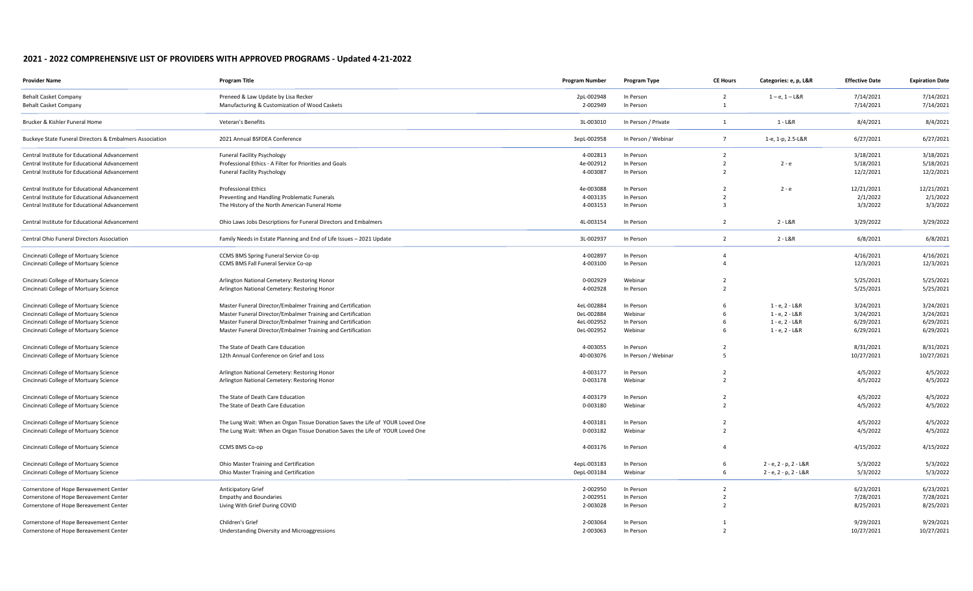## **2021 - 2022 COMPREHENSIVE LIST OF PROVIDERS WITH APPROVED PROGRAMS - Updated 4-21-2022**

| <b>Provider Name</b>                                    | <b>Program Title</b>                                                          | <b>Program Number</b> | <b>Program Type</b> | <b>CE Hours</b>          | Categories: e, p, L&R | <b>Effective Date</b> | <b>Expiration Date</b> |
|---------------------------------------------------------|-------------------------------------------------------------------------------|-----------------------|---------------------|--------------------------|-----------------------|-----------------------|------------------------|
| <b>Behalt Casket Company</b>                            | Preneed & Law Update by Lisa Recker                                           | 2pL-002948            | In Person           | $\overline{2}$           | $1 - e$ , $1 - L & R$ | 7/14/2021             | 7/14/2021              |
| <b>Behalt Casket Company</b>                            | Manufacturing & Customization of Wood Caskets                                 | 2-002949              | In Person           | $\overline{1}$           |                       | 7/14/2021             | 7/14/2021              |
| Brucker & Kishler Funeral Home                          | Veteran's Benefits                                                            | 3L-003010             | In Person / Private | 1                        | $1 - L&R$             | 8/4/2021              | 8/4/2021               |
| Buckeye State Funeral Directors & Embalmers Association | 2021 Annual BSFDEA Conference                                                 | 3epL-002958           | In Person / Webinar | $\overline{7}$           | 1-e, 1-p, 2.5-L&R     | 6/27/2021             | 6/27/2021              |
| Central Institute for Educational Advancement           | <b>Funeral Facility Psychology</b>                                            | 4-002813              | In Person           | $\overline{2}$           |                       | 3/18/2021             | 3/18/2021              |
| Central Institute for Educational Advancement           | Professional Ethics - A Filter for Priorities and Goals                       | 4e-002912             | In Person           | $\overline{2}$           | $2 - e$               | 5/18/2021             | 5/18/2021              |
| Central Institute for Educational Advancement           | <b>Funeral Facility Psychology</b>                                            | 4-003087              | In Person           | $\overline{2}$           |                       | 12/2/2021             | 12/2/2021              |
| Central Institute for Educational Advancement           | <b>Professional Ethics</b>                                                    | 4e-003088             | In Person           | $\overline{\phantom{a}}$ | $2 - e$               | 12/21/2021            | 12/21/2021             |
| Central Institute for Educational Advancement           | Preventing and Handling Problematic Funerals                                  | 4-003135              | In Person           | $\overline{2}$           |                       | 2/1/2022              | 2/1/2022               |
| Central Institute for Educational Advancement           | The History of the North American Funeral Home                                | 4-003153              | In Person           | $\overline{3}$           |                       | 3/3/2022              | 3/3/2022               |
| Central Institute for Educational Advancement           | Ohio Laws Jobs Descriptions for Funeral Directors and Embalmers               | 4L-003154             | In Person           | $\overline{2}$           | $2 - L&R$             | 3/29/2022             | 3/29/2022              |
| Central Ohio Funeral Directors Association              | Family Needs in Estate Planning and End of Life Issues - 2021 Update          | 3L-002937             | In Person           | $\overline{2}$           | $2 - L&R$             | 6/8/2021              | 6/8/2021               |
| Cincinnati College of Mortuary Science                  | CCMS BMS Spring Funeral Service Co-op                                         | 4-002897              | In Person           | $\overline{4}$           |                       | 4/16/2021             | 4/16/2021              |
| Cincinnati College of Mortuary Science                  | CCMS BMS Fall Funeral Service Co-op                                           | 4-003100              | In Person           | $\overline{4}$           |                       | 12/3/2021             | 12/3/2021              |
| Cincinnati College of Mortuary Science                  | Arlington National Cemetery: Restoring Honor                                  | 0-002929              | Webinar             | $\overline{2}$           |                       | 5/25/2021             | 5/25/2021              |
| Cincinnati College of Mortuary Science                  | Arlington National Cemetery: Restoring Honor                                  | 4-002928              | In Person           | $\overline{2}$           |                       | 5/25/2021             | 5/25/2021              |
| Cincinnati College of Mortuary Science                  | Master Funeral Director/Embalmer Training and Certification                   | 4eL-002884            | In Person           | -6                       | $1 - e$ , $2 - L & R$ | 3/24/2021             | 3/24/2021              |
| Cincinnati College of Mortuary Science                  | Master Funeral Director/Embalmer Training and Certification                   | 0eL-002884            | Webinar             | 6                        | $1 - e$ , $2 - L & R$ | 3/24/2021             | 3/24/2021              |
| Cincinnati College of Mortuary Science                  | Master Funeral Director/Embalmer Training and Certification                   | 4eL-002952            | In Person           | -6                       | $1 - e$ , $2 - L & R$ | 6/29/2021             | 6/29/2021              |
| Cincinnati College of Mortuary Science                  | Master Funeral Director/Embalmer Training and Certification                   | 0eL-002952            | Webinar             | -6                       | $1 - e$ , $2 - L & R$ | 6/29/2021             | 6/29/2021              |
| Cincinnati College of Mortuary Science                  | The State of Death Care Education                                             | 4-003055              | In Person           | 2                        |                       | 8/31/2021             | 8/31/2021              |
| Cincinnati College of Mortuary Science                  | 12th Annual Conference on Grief and Loss                                      | 40-003076             | In Person / Webinar | -5                       |                       | 10/27/2021            | 10/27/2021             |
| Cincinnati College of Mortuary Science                  | Arlington National Cemetery: Restoring Honor                                  | 4-003177              | In Person           | $\overline{2}$           |                       | 4/5/2022              | 4/5/2022               |
| Cincinnati College of Mortuary Science                  | Arlington National Cemetery: Restoring Honor                                  | 0-003178              | Webinar             | $\overline{2}$           |                       | 4/5/2022              | 4/5/2022               |
| Cincinnati College of Mortuary Science                  | The State of Death Care Education                                             | 4-003179              | In Person           | 2                        |                       | 4/5/2022              | 4/5/2022               |
| Cincinnati College of Mortuary Science                  | The State of Death Care Education                                             | 0-003180              | Webinar             | $\overline{2}$           |                       | 4/5/2022              | 4/5/2022               |
| Cincinnati College of Mortuary Science                  | The Lung Wait: When an Organ Tissue Donation Saves the Life of YOUR Loved One | 4-003181              | In Person           | 2                        |                       | 4/5/2022              | 4/5/2022               |
| Cincinnati College of Mortuary Science                  | The Lung Wait: When an Organ Tissue Donation Saves the Life of YOUR Loved One | 0-003182              | Webinar             | $\overline{2}$           |                       | 4/5/2022              | 4/5/2022               |
| Cincinnati College of Mortuary Science                  | CCMS BMS Co-op                                                                | 4-003176              | In Person           | $\overline{4}$           |                       | 4/15/2022             | 4/15/2022              |
| Cincinnati College of Mortuary Science                  | Ohio Master Training and Certification                                        | 4epL-003183           | In Person           | - 6                      | 2 - e, 2 - p, 2 - L&R | 5/3/2022              | 5/3/2022               |
| Cincinnati College of Mortuary Science                  | Ohio Master Training and Certification                                        | 0epL-003184           | Webinar             | 6                        | 2 - e, 2 - p, 2 - L&R | 5/3/2022              | 5/3/2022               |
| Cornerstone of Hope Bereavement Center                  | <b>Anticipatory Grief</b>                                                     | 2-002950              | In Person           | $\overline{2}$           |                       | 6/23/2021             | 6/23/2021              |
| Cornerstone of Hope Bereavement Center                  | <b>Empathy and Boundaries</b>                                                 | 2-002951              | In Person           | $\overline{2}$           |                       | 7/28/2021             | 7/28/2021              |
| Cornerstone of Hope Bereavement Center                  | Living With Grief During COVID                                                | 2-003028              | In Person           | $\overline{2}$           |                       | 8/25/2021             | 8/25/2021              |
| Cornerstone of Hope Bereavement Center                  | Children's Grief                                                              | 2-003064              | In Person           |                          |                       | 9/29/2021             | 9/29/2021              |
| Cornerstone of Hope Bereavement Center                  | Understanding Diversity and Microaggressions                                  | 2-003063              | In Person           | $\overline{2}$           |                       | 10/27/2021            | 10/27/2021             |
|                                                         |                                                                               |                       |                     |                          |                       |                       |                        |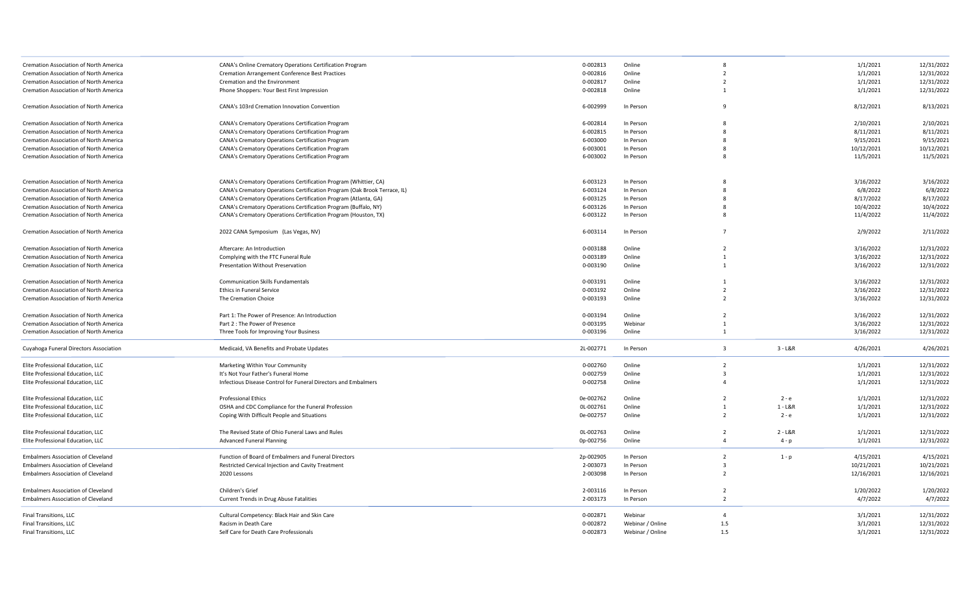| Cremation Association of North America        | CANA's Online Crematory Operations Certification Program                  | 0-002813  | Online           |                         |           | 1/1/2021   | 12/31/2022 |
|-----------------------------------------------|---------------------------------------------------------------------------|-----------|------------------|-------------------------|-----------|------------|------------|
| Cremation Association of North America        | <b>Cremation Arrangement Conference Best Practices</b>                    | 0-002816  | Online           | $\overline{2}$          |           | 1/1/2021   | 12/31/2022 |
| Cremation Association of North America        | Cremation and the Environment                                             | 0-002817  | Online           | $\overline{2}$          |           | 1/1/2021   | 12/31/2022 |
| Cremation Association of North America        | Phone Shoppers: Your Best First Impression                                | 0-002818  | Online           | $\overline{1}$          |           | 1/1/2021   | 12/31/2022 |
| Cremation Association of North America        | CANA's 103rd Cremation Innovation Convention                              | 6-002999  | In Person        |                         |           | 8/12/2021  | 8/13/2021  |
| Cremation Association of North America        | CANA's Crematory Operations Certification Program                         | 6-002814  | In Person        |                         |           | 2/10/2021  | 2/10/2021  |
| Cremation Association of North America        | CANA's Crematory Operations Certification Program                         | 6-002815  | In Person        |                         |           | 8/11/2021  | 8/11/2021  |
| Cremation Association of North America        | CANA's Crematory Operations Certification Program                         | 6-003000  | In Person        |                         |           | 9/15/2021  | 9/15/2021  |
| Cremation Association of North America        | CANA's Crematory Operations Certification Program                         | 6-003001  | In Person        | 8                       |           | 10/12/2021 | 10/12/2021 |
| Cremation Association of North America        | CANA's Crematory Operations Certification Program                         | 6-003002  | In Person        |                         |           | 11/5/2021  | 11/5/2021  |
| Cremation Association of North America        | CANA's Crematory Operations Certification Program (Whittier, CA)          | 6-003123  | In Person        |                         |           | 3/16/2022  | 3/16/2022  |
| Cremation Association of North America        | CANA's Crematory Operations Certification Program (Oak Brook Terrace, IL) | 6-003124  | In Person        | $\mathbf{R}$            |           | 6/8/2022   | 6/8/2022   |
| Cremation Association of North America        | CANA's Crematory Operations Certification Program (Atlanta, GA)           | 6-003125  | In Person        |                         |           | 8/17/2022  | 8/17/2022  |
| Cremation Association of North America        | CANA's Crematory Operations Certification Program (Buffalo, NY)           | 6-003126  | In Person        |                         |           | 10/4/2022  | 10/4/2022  |
| <b>Cremation Association of North America</b> | CANA's Crematory Operations Certification Program (Houston, TX)           | 6-003122  | In Person        | $\mathbf{R}$            |           | 11/4/2022  | 11/4/2022  |
| Cremation Association of North America        | 2022 CANA Symposium (Las Vegas, NV)                                       | 6-003114  | In Person        | $\overline{7}$          |           | 2/9/2022   | 2/11/2022  |
| Cremation Association of North America        | Aftercare: An Introduction                                                | 0-003188  | Online           | $\overline{2}$          |           | 3/16/2022  | 12/31/2022 |
| Cremation Association of North America        | Complying with the FTC Funeral Rule                                       | 0-003189  | Online           | $\mathbf{1}$            |           | 3/16/2022  | 12/31/2022 |
| Cremation Association of North America        | Presentation Without Preservation                                         | 0-003190  | Online           | $\overline{1}$          |           | 3/16/2022  | 12/31/2022 |
|                                               |                                                                           |           |                  |                         |           |            |            |
| Cremation Association of North America        | <b>Communication Skills Fundamentals</b>                                  | 0-003191  | Online           |                         |           | 3/16/2022  | 12/31/2022 |
| Cremation Association of North America        | <b>Ethics in Funeral Service</b>                                          | 0-003192  | Online           | $\overline{2}$          |           | 3/16/2022  | 12/31/2022 |
| Cremation Association of North America        | The Cremation Choice                                                      | 0-003193  | Online           | $\overline{z}$          |           | 3/16/2022  | 12/31/2022 |
| Cremation Association of North America        | Part 1: The Power of Presence: An Introduction                            | 0-003194  | Online           | $\overline{2}$          |           | 3/16/2022  | 12/31/2022 |
| Cremation Association of North America        | Part 2 : The Power of Presence                                            | 0-003195  | Webinar          | $\overline{1}$          |           | 3/16/2022  | 12/31/2022 |
| Cremation Association of North America        | Three Tools for Improving Your Business                                   | 0-003196  | Online           | 1                       |           | 3/16/2022  | 12/31/2022 |
| Cuyahoga Funeral Directors Association        | Medicaid, VA Benefits and Probate Updates                                 | 2L-002771 | In Person        | $\overline{3}$          | $3 - L&R$ | 4/26/2021  | 4/26/2021  |
| Elite Professional Education, LLC             | Marketing Within Your Community                                           | 0-002760  | Online           | $\overline{2}$          |           | 1/1/2021   | 12/31/2022 |
| Elite Professional Education, LLC             | It's Not Your Father's Funeral Home                                       | 0-002759  | Online           | $\overline{\mathbf{3}}$ |           | 1/1/2021   | 12/31/2022 |
| Elite Professional Education, LLC             | Infectious Disease Control for Funeral Directors and Embalmers            | 0-002758  | Online           | $\Delta$                |           | 1/1/2021   | 12/31/2022 |
| Elite Professional Education, LLC             | <b>Professional Ethics</b>                                                | 0e-002762 | Online           | $\overline{2}$          | $2 - e$   | 1/1/2021   | 12/31/2022 |
| Elite Professional Education, LLC             | OSHA and CDC Compliance for the Funeral Profession                        | OL-002761 | Online           | $\overline{1}$          | $1 - L&R$ | 1/1/2021   | 12/31/2022 |
| Elite Professional Education, LLC             | Coping With Difficult People and Situations                               | 0e-002757 | Online           | $\overline{2}$          | $2 - e$   | 1/1/2021   | 12/31/2022 |
| Elite Professional Education, LLC             | The Revised State of Ohio Funeral Laws and Rules                          | OL-002763 | Online           | $\overline{2}$          | $2 - L&R$ | 1/1/2021   | 12/31/2022 |
| Elite Professional Education, LLC             | <b>Advanced Funeral Planning</b>                                          | 0p-002756 | Online           | $\overline{4}$          | $4-p$     | 1/1/2021   | 12/31/2022 |
| Embalmers Association of Cleveland            | Function of Board of Embalmers and Funeral Directors                      | 2p-002905 | In Person        | $\overline{2}$          | $1 - p$   | 4/15/2021  | 4/15/2021  |
| <b>Embalmers Association of Cleveland</b>     | Restricted Cervical Injection and Cavity Treatment                        | 2-003073  | In Person        | $\overline{3}$          |           | 10/21/2021 | 10/21/2021 |
| <b>Embalmers Association of Cleveland</b>     | 2020 Lessons                                                              | 2-003098  | In Person        | $\overline{2}$          |           | 12/16/2021 | 12/16/2021 |
| <b>Embalmers Association of Cleveland</b>     | Children's Grief                                                          | 2-003116  | In Person        | $\overline{2}$          |           | 1/20/2022  | 1/20/2022  |
| <b>Embalmers Association of Cleveland</b>     | Current Trends in Drug Abuse Fatalities                                   | 2-003173  | In Person        | $\overline{2}$          |           | 4/7/2022   | 4/7/2022   |
| Final Transitions, LLC                        | Cultural Competency: Black Hair and Skin Care                             | 0-002871  | Webinar          | $\overline{4}$          |           | 3/1/2021   | 12/31/2022 |
| Final Transitions, LLC                        | Racism in Death Care                                                      | 0-002872  | Webinar / Online | 1.5                     |           | 3/1/2021   | 12/31/2022 |
| Final Transitions, LLC                        | Self Care for Death Care Professionals                                    | 0-002873  | Webinar / Online | 1.5                     |           | 3/1/2021   | 12/31/2022 |
|                                               |                                                                           |           |                  |                         |           |            |            |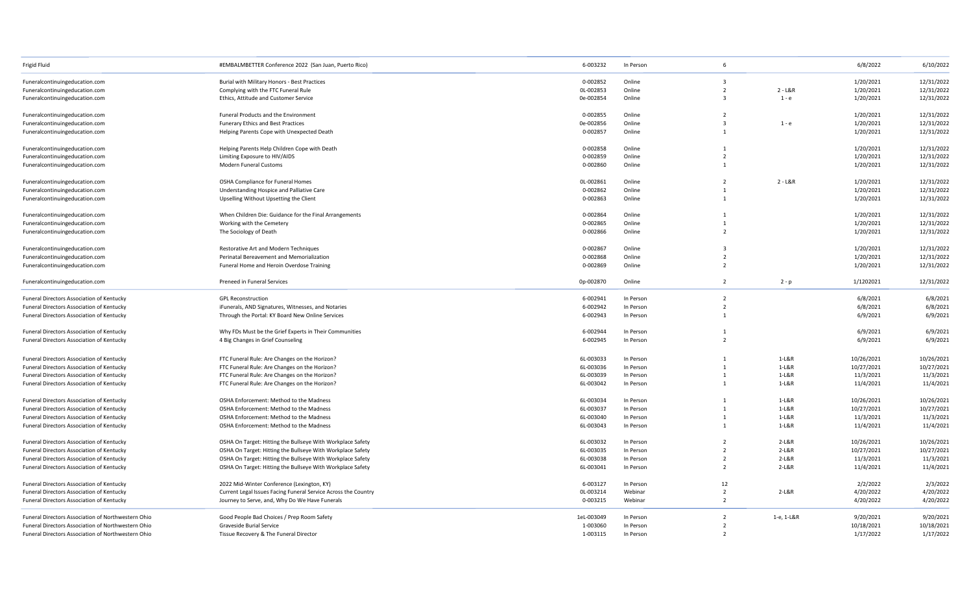| Frigid Fluid                                       | #EMBALMBETTER Conference 2022 (San Juan, Puerto Rico)          | 6-003232   | In Person | 6              |            | 6/8/2022   | 6/10/2022  |
|----------------------------------------------------|----------------------------------------------------------------|------------|-----------|----------------|------------|------------|------------|
| Funeralcontinuingeducation.com                     | Burial with Military Honors - Best Practices                   | 0-002852   | Online    | $\overline{3}$ |            | 1/20/2021  | 12/31/2022 |
| Funeralcontinuingeducation.com                     | Complying with the FTC Funeral Rule                            | OL-002853  | Online    | $\overline{2}$ | $2 - L&R$  | 1/20/2021  | 12/31/2022 |
| Funeralcontinuingeducation.com                     | Ethics, Attitude and Customer Service                          | 0e-002854  | Online    | $\overline{3}$ | $1 - e$    | 1/20/2021  | 12/31/2022 |
| Funeralcontinuingeducation.com                     | Funeral Products and the Environment                           | 0-002855   | Online    | $\overline{2}$ |            | 1/20/2021  | 12/31/2022 |
| Funeralcontinuingeducation.com                     | Funerary Ethics and Best Practices                             | 0e-002856  | Online    | $\overline{3}$ | $1 - e$    | 1/20/2021  | 12/31/2022 |
| Funeralcontinuingeducation.com                     | Helping Parents Cope with Unexpected Death                     | 0-002857   | Online    | $\mathbf{1}$   |            | 1/20/2021  | 12/31/2022 |
| Funeralcontinuingeducation.com                     | Helping Parents Help Children Cope with Death                  | 0-002858   | Online    | 1              |            | 1/20/2021  | 12/31/2022 |
| Funeralcontinuingeducation.com                     | Limiting Exposure to HIV/AIDS                                  | 0-002859   | Online    | $\overline{2}$ |            | 1/20/2021  | 12/31/2022 |
| Funeralcontinuingeducation.com                     | Modern Funeral Customs                                         | 0-002860   | Online    | $\overline{1}$ |            | 1/20/2021  | 12/31/2022 |
| Funeralcontinuingeducation.com                     | OSHA Compliance for Funeral Homes                              | 0L-002861  | Online    | $\overline{2}$ | $2 - L&R$  | 1/20/2021  | 12/31/2022 |
| Funeralcontinuingeducation.com                     | Understanding Hospice and Palliative Care                      | 0-002862   | Online    | $\mathbf{1}$   |            | 1/20/2021  | 12/31/2022 |
| Funeralcontinuingeducation.com                     | Upselling Without Upsetting the Client                         | 0-002863   | Online    | $\overline{1}$ |            | 1/20/2021  | 12/31/2022 |
| Funeralcontinuingeducation.com                     | When Children Die: Guidance for the Final Arrangements         | 0-002864   | Online    |                |            | 1/20/2021  | 12/31/2022 |
| Funeralcontinuingeducation.com                     | Working with the Cemetery                                      | 0-002865   | Online    | $\mathbf{1}$   |            | 1/20/2021  | 12/31/2022 |
| Funeralcontinuingeducation.com                     | The Sociology of Death                                         | 0-002866   | Online    | $\overline{2}$ |            | 1/20/2021  | 12/31/2022 |
| Funeralcontinuingeducation.com                     | Restorative Art and Modern Techniques                          | 0-002867   | Online    | - 3            |            | 1/20/2021  | 12/31/2022 |
| Funeralcontinuingeducation.com                     | Perinatal Bereavement and Memorialization                      | 0-002868   | Online    | $\overline{2}$ |            | 1/20/2021  | 12/31/2022 |
| Funeralcontinuingeducation.com                     | Funeral Home and Heroin Overdose Training                      | 0-002869   | Online    | $\overline{2}$ |            | 1/20/2021  | 12/31/2022 |
| Funeralcontinuingeducation.com                     | Preneed in Funeral Services                                    | 0p-002870  | Online    | $\overline{2}$ | $2 - p$    | 1/1202021  | 12/31/2022 |
| Funeral Directors Association of Kentucky          | <b>GPL Reconstruction</b>                                      | 6-002941   | In Person | $\overline{2}$ |            | 6/8/2021   | 6/8/2021   |
| Funeral Directors Association of Kentucky          | iFunerals, AND Signatures, Witnesses, and Notaries             | 6-002942   | In Person | $\overline{2}$ |            | 6/8/2021   | 6/8/2021   |
| Funeral Directors Association of Kentucky          | Through the Portal: KY Board New Online Services               | 6-002943   | In Person | $\mathbf{1}$   |            | 6/9/2021   | 6/9/2021   |
| Funeral Directors Association of Kentucky          | Why FDs Must be the Grief Experts in Their Communities         | 6-002944   | In Person | 1              |            | 6/9/2021   | 6/9/2021   |
| Funeral Directors Association of Kentucky          | 4 Big Changes in Grief Counseling                              | 6-002945   | In Person | $\overline{2}$ |            | 6/9/2021   | 6/9/2021   |
| Funeral Directors Association of Kentucky          | FTC Funeral Rule: Are Changes on the Horizon?                  | 6L-003033  | In Person | $\mathbf{1}$   | 1-L&R      | 10/26/2021 | 10/26/2021 |
| Funeral Directors Association of Kentucky          | FTC Funeral Rule: Are Changes on the Horizon?                  | 6L-003036  | In Person | $\overline{1}$ | $1-L&R$    | 10/27/2021 | 10/27/2021 |
| Funeral Directors Association of Kentucky          | FTC Funeral Rule: Are Changes on the Horizon?                  | 6L-003039  | In Person | $\mathbf{1}$   | 1-L&R      | 11/3/2021  | 11/3/2021  |
| Funeral Directors Association of Kentucky          | FTC Funeral Rule: Are Changes on the Horizon?                  | 6L-003042  | In Person | $\overline{1}$ | 1-L&R      | 11/4/2021  | 11/4/2021  |
| Funeral Directors Association of Kentucky          | OSHA Enforcement: Method to the Madness                        | 6L-003034  | In Person | 1              | $1-L&R$    | 10/26/2021 | 10/26/2021 |
| Funeral Directors Association of Kentucky          | OSHA Enforcement: Method to the Madness                        | 6L-003037  | In Person |                | 1-L&R      | 10/27/2021 | 10/27/2021 |
| Funeral Directors Association of Kentucky          | OSHA Enforcement: Method to the Madness                        | 6L-003040  | In Person | $\mathbf{1}$   | 1-L&R      | 11/3/2021  | 11/3/2021  |
| Funeral Directors Association of Kentucky          | OSHA Enforcement: Method to the Madness                        | 6L-003043  | In Person | $\overline{1}$ | 1-L&R      | 11/4/2021  | 11/4/2021  |
| Funeral Directors Association of Kentucky          | OSHA On Target: Hitting the Bullseye With Workplace Safety     | 6L-003032  | In Person | $\overline{2}$ | 2-L&R      | 10/26/2021 | 10/26/2021 |
| Funeral Directors Association of Kentucky          | OSHA On Target: Hitting the Bullseye With Workplace Safety     | 6L-003035  | In Person | $\overline{2}$ | $2-L&R$    | 10/27/2021 | 10/27/2021 |
| Funeral Directors Association of Kentucky          | OSHA On Target: Hitting the Bullseye With Workplace Safety     | 6L-003038  | In Person | $\overline{2}$ | $2-L&R$    | 11/3/2021  | 11/3/2021  |
| Funeral Directors Association of Kentucky          | OSHA On Target: Hitting the Bullseye With Workplace Safety     | 6L-003041  | In Person | $\overline{2}$ | $2-L&R$    | 11/4/2021  | 11/4/2021  |
| Funeral Directors Association of Kentucky          | 2022 Mid-Winter Conference (Lexington, KY)                     | 6-003127   | In Person | 12             |            | 2/2/2022   | 2/3/2022   |
| Funeral Directors Association of Kentucky          | Current Legal Issues Facing Funeral Service Across the Country | OL-003214  | Webinar   | $\overline{2}$ | 2-L&R      | 4/20/2022  | 4/20/2022  |
| Funeral Directors Association of Kentucky          | Journey to Serve, and, Why Do We Have Funerals                 | 0-003215   | Webinar   | $\overline{2}$ |            | 4/20/2022  | 4/20/2022  |
| Funeral Directors Association of Northwestern Ohio | Good People Bad Choices / Prep Room Safety                     | 1eL-003049 | In Person | $\overline{2}$ | 1-e, 1-L&R | 9/20/2021  | 9/20/2021  |
| Funeral Directors Association of Northwestern Ohio | Graveside Burial Service                                       | 1-003060   | In Person | $\overline{2}$ |            | 10/18/2021 | 10/18/2021 |
| Funeral Directors Association of Northwestern Ohio | Tissue Recovery & The Funeral Director                         | 1-003115   | In Person | $\overline{2}$ |            | 1/17/2022  | 1/17/2022  |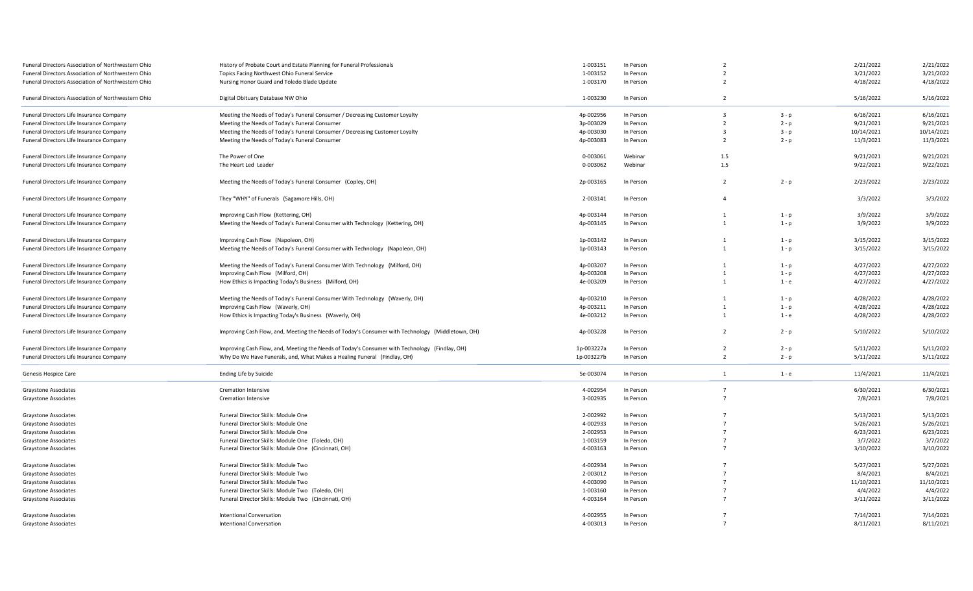| Funeral Directors Association of Northwestern Ohio | History of Probate Court and Estate Planning for Funeral Professionals                           | 1-003151   | In Person | $\overline{2}$ |         | 2/21/2022  | 2/21/2022  |
|----------------------------------------------------|--------------------------------------------------------------------------------------------------|------------|-----------|----------------|---------|------------|------------|
| Funeral Directors Association of Northwestern Ohio | Topics Facing Northwest Ohio Funeral Service                                                     | 1-003152   | In Person | $\overline{2}$ |         | 3/21/2022  | 3/21/2022  |
| Funeral Directors Association of Northwestern Ohio | Nursing Honor Guard and Toledo Blade Update                                                      | 1-003170   | In Person | $\overline{2}$ |         | 4/18/2022  | 4/18/2022  |
| Funeral Directors Association of Northwestern Ohio | Digital Obituary Database NW Ohio                                                                | 1-003230   | In Person | $\overline{2}$ |         | 5/16/2022  | 5/16/2022  |
| Funeral Directors Life Insurance Company           | Meeting the Needs of Today's Funeral Consumer / Decreasing Customer Loyalty                      | 4p-002956  | In Person | $\overline{3}$ | $3-p$   | 6/16/2021  | 6/16/2021  |
| Funeral Directors Life Insurance Company           | Meeting the Needs of Today's Funeral Consumer                                                    | 3p-003029  | In Person | $\overline{2}$ | $2 - p$ | 9/21/2021  | 9/21/2021  |
| Funeral Directors Life Insurance Company           | Meeting the Needs of Today's Funeral Consumer / Decreasing Customer Loyalty                      | 4p-003030  | In Person | $\overline{3}$ | $3 - p$ | 10/14/2021 | 10/14/2021 |
| Funeral Directors Life Insurance Company           | Meeting the Needs of Today's Funeral Consumer                                                    | 4p-003083  | In Person | $\overline{2}$ | $2 - p$ | 11/3/2021  | 11/3/2021  |
| Funeral Directors Life Insurance Company           | The Power of One                                                                                 | 0-003061   | Webinar   | 1.5            |         | 9/21/2021  | 9/21/2021  |
| Funeral Directors Life Insurance Company           | The Heart Led Leader                                                                             | 0-003062   | Webinar   | $1.5\,$        |         | 9/22/2021  | 9/22/2021  |
| Funeral Directors Life Insurance Company           | Meeting the Needs of Today's Funeral Consumer (Copley, OH)                                       | 2p-003165  | In Person | $\overline{2}$ | $2 - p$ | 2/23/2022  | 2/23/2022  |
| Funeral Directors Life Insurance Company           | They "WHY" of Funerals (Sagamore Hills, OH)                                                      | 2-003141   | In Person | $\overline{4}$ |         | 3/3/2022   | 3/3/2022   |
| Funeral Directors Life Insurance Company           | Improving Cash Flow (Kettering, OH)                                                              | 4p-003144  | In Person | $\mathbf{1}$   | $1-p$   | 3/9/2022   | 3/9/2022   |
| Funeral Directors Life Insurance Company           | Meeting the Needs of Today's Funeral Consumer with Technology (Kettering, OH)                    | 4p-003145  | In Person | $\mathbf{1}$   | $1-p$   | 3/9/2022   | 3/9/2022   |
| Funeral Directors Life Insurance Company           | Improving Cash Flow (Napoleon, OH)                                                               | 1p-003142  | In Person | $\overline{1}$ | $1-p$   | 3/15/2022  | 3/15/2022  |
| Funeral Directors Life Insurance Company           | Meeting the Needs of Today's Funeral Consumer with Technology (Napoleon, OH)                     | 1p-003143  | In Person | $\overline{1}$ | $1-p$   | 3/15/2022  | 3/15/2022  |
| Funeral Directors Life Insurance Company           | Meeting the Needs of Today's Funeral Consumer With Technology (Milford, OH)                      | 4p-003207  | In Person | $\mathbf{1}$   | $1-p$   | 4/27/2022  | 4/27/2022  |
| Funeral Directors Life Insurance Company           | Improving Cash Flow (Milford, OH)                                                                | 4p-003208  | In Person | $\mathbf{1}$   | $1-p$   | 4/27/2022  | 4/27/2022  |
| Funeral Directors Life Insurance Company           | How Ethics is Impacting Today's Business (Milford, OH)                                           | 4e-003209  | In Person | $\overline{1}$ | $1 - e$ | 4/27/2022  | 4/27/2022  |
| Funeral Directors Life Insurance Company           | Meeting the Needs of Today's Funeral Consumer With Technology (Waverly, OH)                      | 4p-003210  | In Person | $\mathbf{1}$   | $1-p$   | 4/28/2022  | 4/28/2022  |
| Funeral Directors Life Insurance Company           | Improving Cash Flow (Waverly, OH)                                                                | 4p-003211  | In Person | $\mathbf{1}$   | $1 - p$ | 4/28/2022  | 4/28/2022  |
| Funeral Directors Life Insurance Company           | How Ethics is Impacting Today's Business (Waverly, OH)                                           | 4e-003212  | In Person | 1              | $1 - e$ | 4/28/2022  | 4/28/2022  |
| Funeral Directors Life Insurance Company           | Improving Cash Flow, and, Meeting the Needs of Today's Consumer with Technology (Middletown, OH) | 4p-003228  | In Person | $\overline{2}$ | $2 - p$ | 5/10/2022  | 5/10/2022  |
|                                                    |                                                                                                  |            |           |                |         |            |            |
| Funeral Directors Life Insurance Company           | Improving Cash Flow, and, Meeting the Needs of Today's Consumer with Technology (Findlay, OH)    | 1p-003227a | In Person | $\overline{2}$ | $2 - p$ | 5/11/2022  | 5/11/2022  |
| Funeral Directors Life Insurance Company           | Why Do We Have Funerals, and, What Makes a Healing Funeral (Findlay, OH)                         | 1p-003227b | In Person | $\overline{2}$ | $2 - p$ | 5/11/2022  | 5/11/2022  |
| Genesis Hospice Care                               | Ending Life by Suicide                                                                           | 5e-003074  | In Person | $\mathbf{1}$   | $1 - e$ | 11/4/2021  | 11/4/2021  |
| <b>Graystone Associates</b>                        | <b>Cremation Intensive</b>                                                                       | 4-002954   | In Person | $\overline{7}$ |         | 6/30/2021  | 6/30/2021  |
| <b>Graystone Associates</b>                        | <b>Cremation Intensive</b>                                                                       | 3-002935   | In Person | $\overline{7}$ |         | 7/8/2021   | 7/8/2021   |
| Graystone Associates                               | Funeral Director Skills: Module One                                                              | 2-002992   | In Person | $\overline{7}$ |         | 5/13/2021  | 5/13/2021  |
| Graystone Associates                               | Funeral Director Skills: Module One                                                              | 4-002933   | In Person | $\overline{7}$ |         | 5/26/2021  | 5/26/2021  |
| <b>Graystone Associates</b>                        | Funeral Director Skills: Module One                                                              | 2-002953   | In Person | $\overline{7}$ |         | 6/23/2021  | 6/23/2021  |
| <b>Graystone Associates</b>                        | Funeral Director Skills: Module One (Toledo, OH)                                                 | 1-003159   | In Person | $\overline{7}$ |         | 3/7/2022   | 3/7/2022   |
| <b>Graystone Associates</b>                        | Funeral Director Skills: Module One (Cincinnati, OH)                                             | 4-003163   | In Person | $\overline{7}$ |         | 3/10/2022  | 3/10/2022  |
| Graystone Associates                               | Funeral Director Skills: Module Two                                                              | 4-002934   | In Person | $\overline{7}$ |         | 5/27/2021  | 5/27/2021  |
| <b>Graystone Associates</b>                        | Funeral Director Skills: Module Two                                                              | 2-003012   | In Person | $\overline{7}$ |         | 8/4/2021   | 8/4/2021   |
| <b>Graystone Associates</b>                        | Funeral Director Skills: Module Two                                                              | 4-003090   | In Person | $\overline{7}$ |         | 11/10/2021 | 11/10/2021 |
| Graystone Associates                               | Funeral Director Skills: Module Two (Toledo, OH)                                                 | 1-003160   | In Person | $\overline{7}$ |         | 4/4/2022   | 4/4/2022   |
| Graystone Associates                               | Funeral Director Skills: Module Two (Cincinnati, OH)                                             | 4-003164   | In Person | $\overline{7}$ |         | 3/11/2022  | 3/11/2022  |
| <b>Graystone Associates</b>                        | <b>Intentional Conversation</b>                                                                  | 4-002955   | In Person | $\overline{7}$ |         | 7/14/2021  | 7/14/2021  |
| Graystone Associates                               | <b>Intentional Conversation</b>                                                                  | 4-003013   | In Person | $\overline{7}$ |         | 8/11/2021  | 8/11/2021  |
|                                                    |                                                                                                  |            |           |                |         |            |            |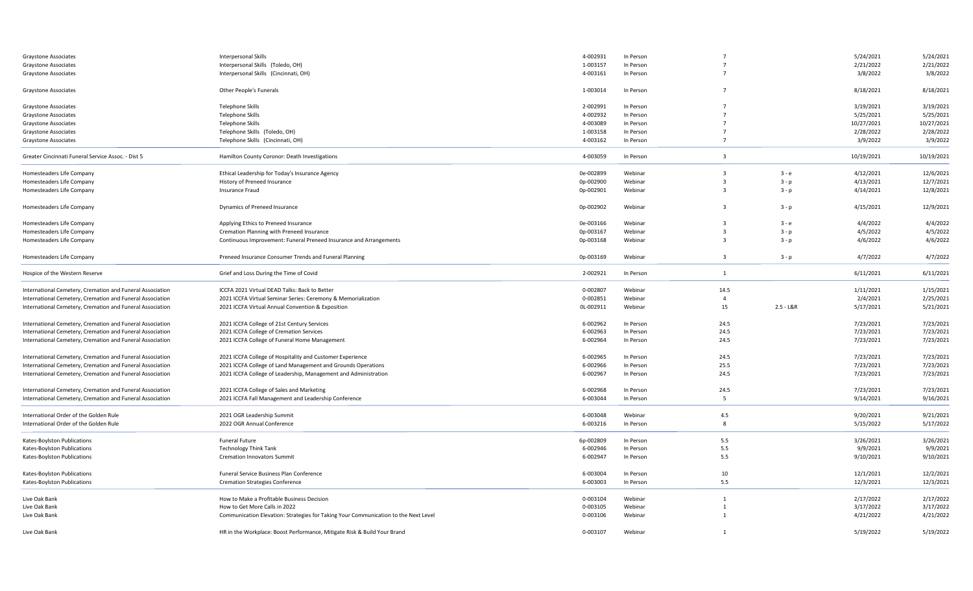| Graystone Associates                                      | <b>Interpersonal Skills</b>                                                         | 4-002931  | In Person |                         |               | 5/24/2021  | 5/24/2021  |
|-----------------------------------------------------------|-------------------------------------------------------------------------------------|-----------|-----------|-------------------------|---------------|------------|------------|
| Graystone Associates                                      | Interpersonal Skills (Toledo, OH)                                                   | 1-003157  | In Person | $\overline{7}$          |               | 2/21/2022  | 2/21/2022  |
| Graystone Associates                                      | Interpersonal Skills (Cincinnati, OH)                                               | 4-003161  | In Person | $\overline{7}$          |               | 3/8/2022   | 3/8/2022   |
| Graystone Associates                                      | Other People's Funerals                                                             | 1-003014  | In Person | $\overline{7}$          |               | 8/18/2021  | 8/18/2021  |
| Graystone Associates                                      | <b>Telephone Skills</b>                                                             | 2-002991  | In Person | $\overline{7}$          |               | 3/19/2021  | 3/19/2021  |
| <b>Graystone Associates</b>                               | <b>Telephone Skills</b>                                                             | 4-002932  | In Person | $\overline{7}$          |               | 5/25/2021  | 5/25/2021  |
| Graystone Associates                                      | <b>Telephone Skills</b>                                                             | 4-003089  | In Person | $\overline{7}$          |               | 10/27/2021 | 10/27/2021 |
| Graystone Associates                                      | Telephone Skills (Toledo, OH)                                                       | 1-003158  | In Person | $\overline{7}$          |               | 2/28/2022  | 2/28/2022  |
| Graystone Associates                                      | Telephone Skills (Cincinnati, OH)                                                   | 4-003162  | In Person | $\overline{7}$          |               | 3/9/2022   | 3/9/2022   |
| Greater Cincinnati Funeral Service Assoc. - Dist 5        | Hamilton County Coronor: Death Investigations                                       | 4-003059  | In Person | $\overline{\mathbf{3}}$ |               | 10/19/2021 | 10/19/2021 |
| Homesteaders Life Company                                 | Ethical Leadership for Today's Insurance Agency                                     | 0e-002899 | Webinar   | $\overline{\mathbf{3}}$ | $3 - e$       | 4/12/2021  | 12/6/2021  |
| Homesteaders Life Company                                 | History of Preneed Insurance                                                        | 0p-002900 | Webinar   | $\overline{\mathbf{3}}$ | $3 - p$       | 4/13/2021  | 12/7/2021  |
| Homesteaders Life Company                                 | Insurance Fraud                                                                     | 0p-002901 | Webinar   | $\overline{\mathbf{3}}$ | $3 - p$       | 4/14/2021  | 12/8/2021  |
| Homesteaders Life Company                                 | Dynamics of Preneed Insurance                                                       | 0p-002902 | Webinar   | $\overline{\mathbf{3}}$ | $3 - p$       | 4/15/2021  | 12/9/2021  |
| Homesteaders Life Company                                 | Applying Ethics to Preneed Insurance                                                | 0e-003166 | Webinar   | $\overline{\mathbf{3}}$ | 3-е           | 4/4/2022   | 4/4/2022   |
| Homesteaders Life Company                                 | Cremation Planning with Preneed Insurance                                           | 0p-003167 | Webinar   | $\overline{3}$          | $3 - p$       | 4/5/2022   | 4/5/2022   |
| Homesteaders Life Company                                 | Continuous Improvement: Funeral Preneed Insurance and Arrangements                  | 0p-003168 | Webinar   | $\overline{3}$          | $3 - p$       | 4/6/2022   | 4/6/2022   |
| Homesteaders Life Company                                 | Preneed Insurance Consumer Trends and Funeral Planning                              | 0p-003169 | Webinar   | $\overline{\mathbf{3}}$ | $3 - p$       | 4/7/2022   | 4/7/2022   |
| Hospice of the Western Reserve                            | Grief and Loss During the Time of Covid                                             | 2-002921  | In Person | 1                       |               | 6/11/2021  | 6/11/2021  |
| International Cemetery, Cremation and Funeral Association | ICCFA 2021 Virtual DEAD Talks: Back to Better                                       | 0-002807  | Webinar   | 14.5                    |               | 1/11/2021  | 1/15/2021  |
| International Cemetery, Cremation and Funeral Association | 2021 ICCFA Virtual Seminar Series: Ceremony & Memorialization                       | 0-002851  | Webinar   | $\overline{4}$          |               | 2/4/2021   | 2/25/2021  |
| International Cemetery, Cremation and Funeral Association | 2021 ICCFA Virtual Annual Convention & Exposition                                   | OL-002911 | Webinar   | 15                      | $2.5 - L & R$ | 5/17/2021  | 5/21/2021  |
| International Cemetery, Cremation and Funeral Association | 2021 ICCFA College of 21st Century Services                                         | 6-002962  | In Person | 24.5                    |               | 7/23/2021  | 7/23/2021  |
| International Cemetery, Cremation and Funeral Association | 2021 ICCFA College of Cremation Services                                            | 6-002963  | In Person | 24.5                    |               | 7/23/2021  | 7/23/2021  |
| International Cemetery, Cremation and Funeral Association | 2021 ICCFA College of Funeral Home Management                                       | 6-002964  | In Person | 24.5                    |               | 7/23/2021  | 7/23/2021  |
| International Cemetery, Cremation and Funeral Association | 2021 ICCFA College of Hospitality and Customer Experience                           | 6-002965  | In Person | 24.5                    |               | 7/23/2021  | 7/23/2021  |
| International Cemetery, Cremation and Funeral Association | 2021 ICCFA College of Land Management and Grounds Operations                        | 6-002966  | In Person | 25.5                    |               | 7/23/2021  | 7/23/2021  |
| International Cemetery, Cremation and Funeral Association | 2021 ICCFA College of Leadership, Management and Administration                     | 6-002967  | In Person | 24.5                    |               | 7/23/2021  | 7/23/2021  |
| International Cemetery, Cremation and Funeral Association | 2021 ICCFA College of Sales and Marketing                                           | 6-002968  | In Person | 24.5                    |               | 7/23/2021  | 7/23/2021  |
| International Cemetery, Cremation and Funeral Association | 2021 ICCFA Fall Management and Leadership Conference                                | 6-003044  | In Person | 5                       |               | 9/14/2021  | 9/16/2021  |
| International Order of the Golden Rule                    | 2021 OGR Leadership Summit                                                          | 6-003048  | Webinar   | 4.5                     |               | 9/20/2021  | 9/21/2021  |
| International Order of the Golden Rule                    | 2022 OGR Annual Conference                                                          | 6-003216  | In Person | 8                       |               | 5/15/2022  | 5/17/2022  |
| Kates-Boylston Publications                               | <b>Funeral Future</b>                                                               | 6p-002809 | In Person | 5.5                     |               | 3/26/2021  | 3/26/2021  |
| Kates-Boylston Publications                               | <b>Technology Think Tank</b>                                                        | 6-002946  | In Person | 5.5                     |               | 9/9/2021   | 9/9/2021   |
| Kates-Boylston Publications                               | <b>Cremation Innovators Summit</b>                                                  | 6-002947  | In Person | 5.5                     |               | 9/10/2021  | 9/10/2021  |
| Kates-Boylston Publications                               | Funeral Service Business Plan Conference                                            | 6-003004  | In Person | 10                      |               | 12/1/2021  | 12/2/2021  |
| Kates-Boylston Publications                               | <b>Cremation Strategies Conference</b>                                              | 6-003003  | In Person | 5.5                     |               | 12/3/2021  | 12/3/2021  |
| Live Oak Bank                                             | How to Make a Profitable Business Decision                                          | 0-003104  | Webinar   | -1                      |               | 2/17/2022  | 2/17/2022  |
| Live Oak Bank                                             | How to Get More Calls in 2022                                                       | 0-003105  | Webinar   | 1                       |               | 3/17/2022  | 3/17/2022  |
| Live Oak Bank                                             | Communication Elevation: Strategies for Taking Your Communication to the Next Level | 0-003106  | Webinar   | $\mathbf{1}$            |               | 4/21/2022  | 4/21/2022  |
| Live Oak Bank                                             | HR in the Workplace: Boost Performance, Mitigate Risk & Build Your Brand            | 0-003107  | Webinar   | $\mathbf{1}$            |               | 5/19/2022  | 5/19/2022  |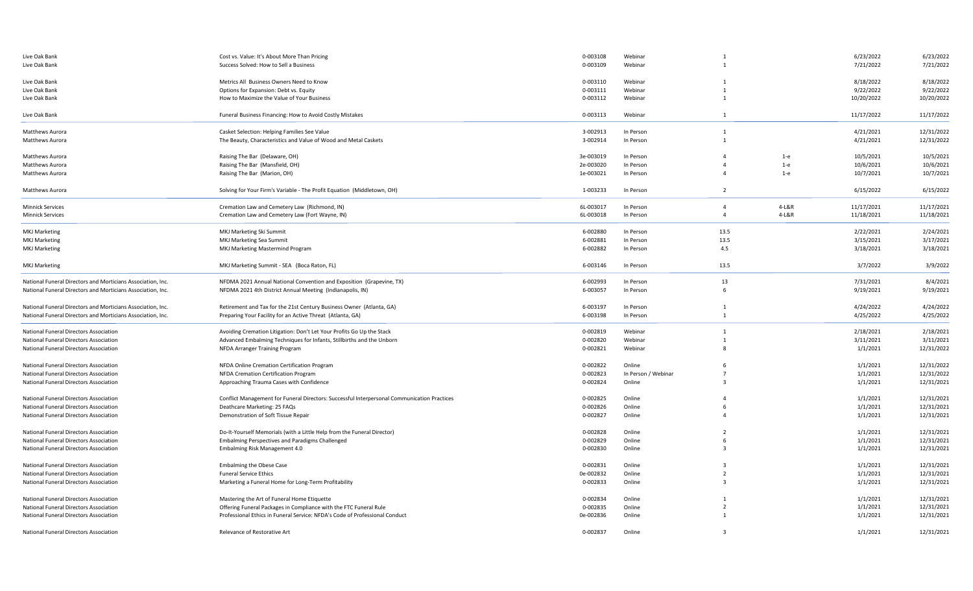| Live Oak Bank                                               | Cost vs. Value: It's About More Than Pricing                                                | 0-003108  | Webinar             |                         |         | 6/23/2022  | 6/23/2022  |
|-------------------------------------------------------------|---------------------------------------------------------------------------------------------|-----------|---------------------|-------------------------|---------|------------|------------|
| Live Oak Bank                                               | Success Solved: How to Sell a Business                                                      | 0-003109  | Webinar             |                         |         | 7/21/2022  | 7/21/2022  |
|                                                             |                                                                                             |           |                     |                         |         |            |            |
| Live Oak Bank                                               | Metrics All Business Owners Need to Know                                                    | 0-003110  | Webinar             |                         |         | 8/18/2022  | 8/18/2022  |
| Live Oak Bank                                               | Options for Expansion: Debt vs. Equity                                                      | 0-003111  | Webinar             | $\mathbf{1}$            |         | 9/22/2022  | 9/22/2022  |
| Live Oak Bank                                               | How to Maximize the Value of Your Business                                                  | 0-003112  | Webinar             | $\mathbf{1}$            |         | 10/20/2022 | 10/20/2022 |
| Live Oak Bank                                               | Funeral Business Financing: How to Avoid Costly Mistakes                                    | 0-003113  | Webinar             | 1                       |         | 11/17/2022 | 11/17/2022 |
| Matthews Aurora                                             | Casket Selection: Helping Families See Value                                                | 3-002913  | In Person           | 1                       |         | 4/21/2021  | 12/31/2022 |
| Matthews Aurora                                             | The Beauty, Characteristics and Value of Wood and Metal Caskets                             | 3-002914  | In Person           | $\mathbf{1}$            |         | 4/21/2021  | 12/31/2022 |
|                                                             |                                                                                             |           |                     |                         |         |            |            |
| Matthews Aurora                                             | Raising The Bar (Delaware, OH)                                                              | 3e-003019 | In Person           | $\Delta$                | $1-e$   | 10/5/2021  | 10/5/2021  |
| Matthews Aurora                                             | Raising The Bar (Mansfield, OH)                                                             | 2e-003020 | In Person           | $\Delta$                | $1-e$   | 10/6/2021  | 10/6/2021  |
| Matthews Aurora                                             | Raising The Bar (Marion, OH)                                                                | 1e-003021 | In Person           | $\Delta$                | $1-e$   | 10/7/2021  | 10/7/2021  |
| Matthews Aurora                                             | Solving for Your Firm's Variable - The Profit Equation (Middletown, OH)                     | 1-003233  | In Person           | $\overline{2}$          |         | 6/15/2022  | 6/15/2022  |
| <b>Minnick Services</b>                                     | Cremation Law and Cemetery Law (Richmond, IN)                                               | 6L-003017 | In Person           | $\overline{4}$          | 4-L&R   | 11/17/2021 | 11/17/2021 |
|                                                             |                                                                                             |           | In Person           | $\overline{4}$          | $4-L&R$ |            |            |
| <b>Minnick Services</b>                                     | Cremation Law and Cemetery Law (Fort Wayne, IN)                                             | 6L-003018 |                     |                         |         | 11/18/2021 | 11/18/2021 |
| <b>MKJ Marketing</b>                                        | MKJ Marketing Ski Summit                                                                    | 6-002880  | In Person           | 13.5                    |         | 2/22/2021  | 2/24/2021  |
| <b>MKJ Marketing</b>                                        | MKJ Marketing Sea Summit                                                                    | 6-002881  | In Person           | 13.5                    |         | 3/15/2021  | 3/17/2021  |
| <b>MKJ Marketing</b>                                        | MKJ Marketing Mastermind Program                                                            | 6-002882  | In Person           | 4.5                     |         | 3/18/2021  | 3/18/2021  |
| MKJ Marketing                                               | MKJ Marketing Summit - SEA (Boca Raton, FL)                                                 | 6-003146  | In Person           | 13.5                    |         | 3/7/2022   | 3/9/2022   |
|                                                             |                                                                                             |           |                     |                         |         |            |            |
| National Funeral Directors and Morticians Association, Inc. | NFDMA 2021 Annual National Convention and Exposition (Grapevine, TX)                        | 6-002993  | In Person           | 13                      |         | 7/31/2021  | 8/4/2021   |
| National Funeral Directors and Morticians Association, Inc. | NFDMA 2021 4th District Annual Meeting (Indianapolis, IN)                                   | 6-003057  | In Person           | 6                       |         | 9/19/2021  | 9/19/2021  |
| National Funeral Directors and Morticians Association, Inc. | Retirement and Tax for the 21st Century Business Owner (Atlanta, GA)                        | 6-003197  | In Person           | $\mathbf{1}$            |         | 4/24/2022  | 4/24/2022  |
| National Funeral Directors and Morticians Association, Inc. | Preparing Your Facility for an Active Threat (Atlanta, GA)                                  | 6-003198  | In Person           | $\mathbf{1}$            |         | 4/25/2022  | 4/25/2022  |
|                                                             |                                                                                             |           |                     |                         |         |            |            |
| National Funeral Directors Association                      | Avoiding Cremation Litigation: Don't Let Your Profits Go Up the Stack                       | 0-002819  | Webinar             | $\mathbf{1}$            |         | 2/18/2021  | 2/18/2021  |
| National Funeral Directors Association                      | Advanced Embalming Techniques for Infants, Stillbirths and the Unborn                       | 0-002820  | Webinar             |                         |         | 3/11/2021  | 3/11/2021  |
| National Funeral Directors Association                      | NFDA Arranger Training Program                                                              | 0-002821  | Webinar             |                         |         | 1/1/2021   | 12/31/2022 |
|                                                             |                                                                                             |           |                     |                         |         |            |            |
| National Funeral Directors Association                      | NFDA Online Cremation Certification Program                                                 | 0-002822  | Online              |                         |         | 1/1/2021   | 12/31/2022 |
| National Funeral Directors Association                      | NFDA Cremation Certification Program                                                        | 0-002823  | In Person / Webinar | $\overline{7}$          |         | 1/1/2021   | 12/31/2022 |
| National Funeral Directors Association                      | Approaching Trauma Cases with Confidence                                                    | 0-002824  | Online              | $\overline{\mathbf{3}}$ |         | 1/1/2021   | 12/31/2021 |
| National Funeral Directors Association                      | Conflict Management for Funeral Directors: Successful Interpersonal Communication Practices | 0-002825  | Online              | 4                       |         | 1/1/2021   | 12/31/2021 |
| National Funeral Directors Association                      | Deathcare Marketing: 25 FAQs                                                                | 0-002826  | Online              | 6                       |         | 1/1/2021   | 12/31/2021 |
| National Funeral Directors Association                      | Demonstration of Soft Tissue Repair                                                         | 0-002827  | Online              | $\Delta$                |         | 1/1/2021   | 12/31/2021 |
| National Funeral Directors Association                      | Do-It-Yourself Memorials (with a Little Help from the Funeral Director)                     | 0-002828  | Online              | $\overline{2}$          |         | 1/1/2021   | 12/31/2021 |
| National Funeral Directors Association                      | Embalming Perspectives and Paradigms Challenged                                             | 0-002829  | Online              | 6                       |         | 1/1/2021   | 12/31/2021 |
| National Funeral Directors Association                      | Embalming Risk Management 4.0                                                               | 0-002830  | Online              | $\overline{3}$          |         | 1/1/2021   | 12/31/2021 |
|                                                             |                                                                                             |           |                     |                         |         |            |            |
| National Funeral Directors Association                      | <b>Embalming the Obese Case</b>                                                             | 0-002831  | Online              | $\overline{3}$          |         | 1/1/2021   | 12/31/2021 |
| National Funeral Directors Association                      | <b>Funeral Service Ethics</b>                                                               | 0e-002832 | Online              | $\overline{2}$          |         | 1/1/2021   | 12/31/2021 |
| National Funeral Directors Association                      | Marketing a Funeral Home for Long-Term Profitability                                        | 0-002833  | Online              | $\overline{3}$          |         | 1/1/2021   | 12/31/2021 |
| National Funeral Directors Association                      | Mastering the Art of Funeral Home Etiquette                                                 | 0-002834  | Online              | $\mathbf{1}$            |         | 1/1/2021   | 12/31/2021 |
| National Funeral Directors Association                      | Offering Funeral Packages in Compliance with the FTC Funeral Rule                           | 0-002835  | Online              | $\overline{2}$          |         | 1/1/2021   | 12/31/2021 |
| National Funeral Directors Association                      | Professional Ethics in Funeral Service: NFDA's Code of Professional Conduct                 | 0e-002836 | Online              |                         |         |            | 12/31/2021 |
|                                                             |                                                                                             |           |                     |                         |         | 1/1/2021   |            |
| National Funeral Directors Association                      | Relevance of Restorative Art                                                                | 0-002837  | Online              | $\overline{\mathbf{3}}$ |         | 1/1/2021   | 12/31/2021 |
|                                                             |                                                                                             |           |                     |                         |         |            |            |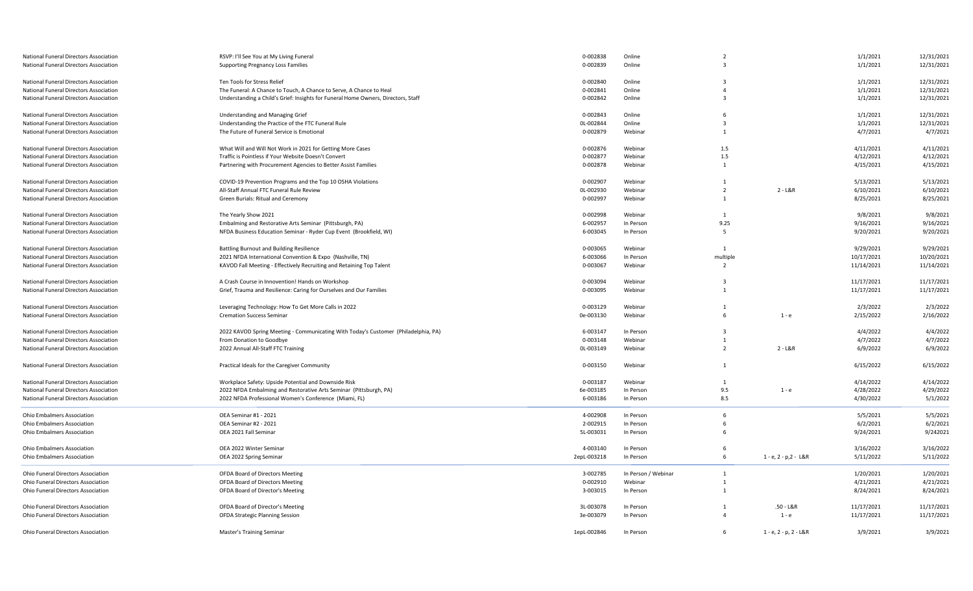| National Funeral Directors Association | RSVP: I'll See You at My Living Funeral                                            | 0-002838    | Online              | $\overline{2}$          |                                 | 1/1/2021   | 12/31/2021 |
|----------------------------------------|------------------------------------------------------------------------------------|-------------|---------------------|-------------------------|---------------------------------|------------|------------|
| National Funeral Directors Association | <b>Supporting Pregnancy Loss Families</b>                                          | 0-002839    | Online              | $\mathbf{3}$            |                                 | 1/1/2021   | 12/31/2021 |
|                                        |                                                                                    |             |                     |                         |                                 |            |            |
| National Funeral Directors Association | Ten Tools for Stress Relief                                                        | 0-002840    | Online              | $\overline{3}$          |                                 | 1/1/2021   | 12/31/2021 |
| National Funeral Directors Association | The Funeral: A Chance to Touch, A Chance to Serve, A Chance to Heal                | 0-002841    | Online              | $\overline{4}$          |                                 | 1/1/2021   | 12/31/2021 |
| National Funeral Directors Association | Understanding a Child's Grief: Insights for Funeral Home Owners, Directors, Staff  | 0-002842    | Online              | $\overline{3}$          |                                 | 1/1/2021   | 12/31/2021 |
|                                        |                                                                                    |             |                     |                         |                                 |            |            |
| National Funeral Directors Association | <b>Understanding and Managing Grief</b>                                            | 0-002843    | Online              | - 6                     |                                 | 1/1/2021   | 12/31/2021 |
| National Funeral Directors Association | Understanding the Practice of the FTC Funeral Rule                                 | 0L-002844   | Online              | $\overline{3}$          |                                 | 1/1/2021   | 12/31/2021 |
| National Funeral Directors Association | The Future of Funeral Service is Emotional                                         | 0-002879    | Webinar             | 1                       |                                 | 4/7/2021   | 4/7/2021   |
|                                        |                                                                                    |             |                     |                         |                                 |            |            |
| National Funeral Directors Association | What Will and Will Not Work in 2021 for Getting More Cases                         | 0-002876    | Webinar             | 1.5                     |                                 | 4/11/2021  | 4/11/2021  |
| National Funeral Directors Association | Traffic is Pointless if Your Website Doesn't Convert                               | 0-002877    | Webinar             | $1.5\,$                 |                                 | 4/12/2021  | 4/12/2021  |
| National Funeral Directors Association | Partnering with Procurement Agencies to Better Assist Families                     | 0-002878    | Webinar             | $\overline{1}$          |                                 | 4/15/2021  | 4/15/2021  |
|                                        |                                                                                    |             |                     |                         |                                 |            |            |
| National Funeral Directors Association | COVID-19 Prevention Programs and the Top 10 OSHA Violations                        | 0-002907    | Webinar             | 1                       |                                 | 5/13/2021  | 5/13/2021  |
| National Funeral Directors Association | All-Staff Annual FTC Funeral Rule Review                                           | OL-002930   | Webinar             | $\overline{2}$          | $2 - L&R$                       | 6/10/2021  | 6/10/2021  |
| National Funeral Directors Association | Green Burials: Ritual and Ceremony                                                 | 0-002997    | Webinar             | $\overline{1}$          |                                 | 8/25/2021  | 8/25/2021  |
|                                        |                                                                                    |             |                     |                         |                                 |            |            |
| National Funeral Directors Association | The Yearly Show 2021                                                               | 0-002998    | Webinar             | 1                       |                                 | 9/8/2021   | 9/8/2021   |
|                                        |                                                                                    |             | In Person           |                         |                                 |            |            |
| National Funeral Directors Association | Embalming and Restorative Arts Seminar (Pittsburgh, PA)                            | 6-002957    |                     | 9.25                    |                                 | 9/16/2021  | 9/16/2021  |
| National Funeral Directors Association | NFDA Business Education Seminar - Ryder Cup Event (Brookfield, WI)                 | 6-003045    | In Person           | 5                       |                                 | 9/20/2021  | 9/20/2021  |
|                                        |                                                                                    |             |                     |                         |                                 |            |            |
| National Funeral Directors Association | Battling Burnout and Building Resilience                                           | 0-003065    | Webinar             | 1                       |                                 | 9/29/2021  | 9/29/2021  |
| National Funeral Directors Association | 2021 NFDA International Convention & Expo (Nashville, TN)                          | 6-003066    | In Person           | multiple                |                                 | 10/17/2021 | 10/20/2021 |
| National Funeral Directors Association | KAVOD Fall Meeting - Effectively Recruiting and Retaining Top Talent               | 0-003067    | Webinar             | $\overline{2}$          |                                 | 11/14/2021 | 11/14/2021 |
| National Funeral Directors Association | A Crash Course in Innovention! Hands on Workshop                                   | 0-003094    | Webinar             | $\overline{\mathbf{3}}$ |                                 | 11/17/2021 | 11/17/2021 |
|                                        | Grief, Trauma and Resilience: Caring for Ourselves and Our Families                | 0-003095    | Webinar             | $\overline{1}$          |                                 |            |            |
| National Funeral Directors Association |                                                                                    |             |                     |                         |                                 | 11/17/2021 | 11/17/2021 |
| National Funeral Directors Association | Leveraging Technology: How To Get More Calls in 2022                               | 0-003129    | Webinar             | 1                       |                                 | 2/3/2022   | 2/3/2022   |
| National Funeral Directors Association | <b>Cremation Success Seminar</b>                                                   | 0e-003130   | Webinar             | 6                       | $1 - e$                         | 2/15/2022  | 2/16/2022  |
|                                        |                                                                                    |             |                     |                         |                                 |            |            |
| National Funeral Directors Association | 2022 KAVOD Spring Meeting - Communicating With Today's Customer (Philadelphia, PA) | 6-003147    | In Person           | $\overline{\mathbf{3}}$ |                                 | 4/4/2022   | 4/4/2022   |
| National Funeral Directors Association | From Donation to Goodbye                                                           | 0-003148    | Webinar             | 1                       |                                 | 4/7/2022   | 4/7/2022   |
| National Funeral Directors Association | 2022 Annual All-Staff FTC Training                                                 | OL-003149   | Webinar             | $\overline{2}$          | $2 - L&R$                       | 6/9/2022   | 6/9/2022   |
|                                        |                                                                                    |             |                     |                         |                                 |            |            |
| National Funeral Directors Association | Practical Ideals for the Caregiver Community                                       | 0-003150    | Webinar             | $\overline{1}$          |                                 | 6/15/2022  | 6/15/2022  |
|                                        |                                                                                    |             |                     |                         |                                 |            |            |
| National Funeral Directors Association | Workplace Safety: Upside Potential and Downside Risk                               | 0-003187    | Webinar             | 1                       |                                 | 4/14/2022  | 4/14/2022  |
| National Funeral Directors Association | 2022 NFDA Embalming and Restorative Arts Seminar (Pittsburgh, PA)                  | 6e-003185   | In Person           | 9.5                     | $1 - e$                         | 4/28/2022  | 4/29/2022  |
| National Funeral Directors Association | 2022 NFDA Professional Women's Conference (Miami, FL)                              | 6-003186    | In Person           | 8.5                     |                                 | 4/30/2022  | 5/1/2022   |
|                                        |                                                                                    |             |                     |                         |                                 |            |            |
| <b>Ohio Embalmers Association</b>      | OEA Seminar #1 - 2021                                                              | 4-002908    | In Person           | 6                       |                                 | 5/5/2021   | 5/5/2021   |
| Ohio Embalmers Association             | OEA Seminar #2 - 2021                                                              | 2-002915    | In Person           | 6                       |                                 | 6/2/2021   | 6/2/2021   |
| <b>Ohio Embalmers Association</b>      | OEA 2021 Fall Seminar                                                              | 5L-003031   | In Person           | -6                      |                                 | 9/24/2021  | 9/242021   |
|                                        |                                                                                    |             |                     |                         |                                 |            |            |
| Ohio Embalmers Association             | OEA 2022 Winter Seminar                                                            | 4-003140    | In Person           | - 6                     |                                 | 3/16/2022  | 3/16/2022  |
| <b>Ohio Embalmers Association</b>      | OEA 2022 Spring Seminar                                                            | 2epL-003218 | In Person           | - 6                     | $1 - e$ , $2 - p$ , $2 - L & R$ | 5/11/2022  | 5/11/2022  |
|                                        |                                                                                    |             |                     |                         |                                 |            |            |
| Ohio Funeral Directors Association     | OFDA Board of Directors Meeting                                                    | 3-002785    | In Person / Webinar | 1                       |                                 | 1/20/2021  | 1/20/2021  |
| Ohio Funeral Directors Association     | OFDA Board of Directors Meeting                                                    | 0-002910    | Webinar             | $\overline{1}$          |                                 | 4/21/2021  | 4/21/2021  |
| Ohio Funeral Directors Association     | OFDA Board of Director's Meeting                                                   | 3-003015    | In Person           | $\overline{1}$          |                                 | 8/24/2021  | 8/24/2021  |
|                                        |                                                                                    |             |                     |                         |                                 |            |            |
| Ohio Funeral Directors Association     | OFDA Board of Director's Meeting                                                   | 3L-003078   | In Person           | 1                       | $.50 - L&R$                     | 11/17/2021 | 11/17/2021 |
| Ohio Funeral Directors Association     | <b>OFDA Strategic Planning Session</b>                                             | 3e-003079   | In Person           | $\overline{4}$          | 1 - e                           | 11/17/2021 | 11/17/2021 |
|                                        |                                                                                    |             |                     |                         |                                 |            |            |
| Ohio Funeral Directors Association     | Master's Training Seminar                                                          | 1epL-002846 | In Person           | 6                       | 1 - e, 2 - p, 2 - L&R           | 3/9/2021   | 3/9/2021   |
|                                        |                                                                                    |             |                     |                         |                                 |            |            |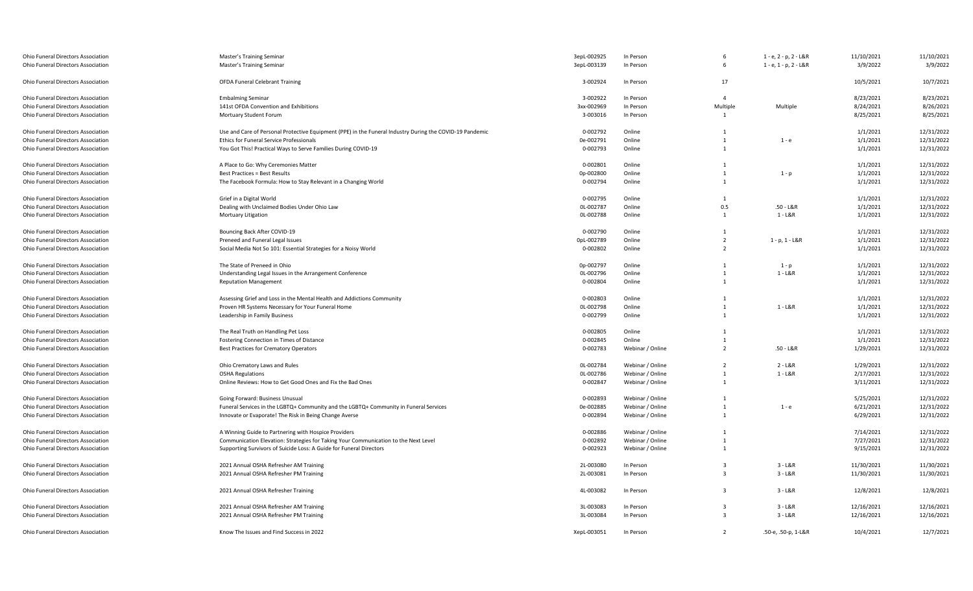| Ohio Funeral Directors Association | Master's Training Seminar                                                                                | 3epL-002925 | In Person        | -6                      | 1 - e, 2 - p, 2 - L&R | 11/10/2021 | 11/10/2021 |
|------------------------------------|----------------------------------------------------------------------------------------------------------|-------------|------------------|-------------------------|-----------------------|------------|------------|
| Ohio Funeral Directors Association | Master's Training Seminar                                                                                | 3epL-003139 | In Person        | 6                       | 1 - e, 1 - p, 2 - L&R | 3/9/2022   | 3/9/2022   |
|                                    |                                                                                                          |             |                  |                         |                       |            |            |
| Ohio Funeral Directors Association | <b>OFDA Funeral Celebrant Training</b>                                                                   | 3-002924    | In Person        | 17                      |                       | 10/5/2021  | 10/7/2021  |
| Ohio Funeral Directors Association | <b>Embalming Seminar</b>                                                                                 | 3-002922    | In Person        | $\overline{4}$          |                       | 8/23/2021  | 8/23/2021  |
| Ohio Funeral Directors Association | 141st OFDA Convention and Exhibitions                                                                    | 3xx-002969  | In Person        | Multiple                | Multiple              | 8/24/2021  | 8/26/2021  |
| Ohio Funeral Directors Association | Mortuary Student Forum                                                                                   | 3-003016    | In Person        | 1                       |                       | 8/25/2021  | 8/25/2021  |
|                                    |                                                                                                          |             |                  |                         |                       |            |            |
| Ohio Funeral Directors Association | Use and Care of Personal Protective Equipment (PPE) in the Funeral Industry During the COVID-19 Pandemic | 0-002792    | Online           | 1                       |                       | 1/1/2021   | 12/31/2022 |
| Ohio Funeral Directors Association | Ethics for Funeral Service Professionals                                                                 | 0e-002791   | Online           | 1                       | $1 - e$               | 1/1/2021   | 12/31/2022 |
| Ohio Funeral Directors Association | You Got This! Practical Ways to Serve Families During COVID-19                                           | 0-002793    | Online           | 1                       |                       | 1/1/2021   | 12/31/2022 |
| Ohio Funeral Directors Association | A Place to Go: Why Ceremonies Matter                                                                     | 0-002801    | Online           | 1                       |                       | 1/1/2021   | 12/31/2022 |
| Ohio Funeral Directors Association | <b>Best Practices = Best Results</b>                                                                     | 0p-002800   | Online           | $\mathbf{1}$            | $1 - p$               | 1/1/2021   | 12/31/2022 |
| Ohio Funeral Directors Association | The Facebook Formula: How to Stay Relevant in a Changing World                                           | 0-002794    | Online           | 1                       |                       | 1/1/2021   | 12/31/2022 |
| Ohio Funeral Directors Association | Grief in a Digital World                                                                                 | 0-002795    | Online           | 1                       |                       | 1/1/2021   | 12/31/2022 |
|                                    |                                                                                                          |             |                  |                         |                       |            |            |
| Ohio Funeral Directors Association | Dealing with Unclaimed Bodies Under Ohio Law                                                             | OL-002787   | Online           | 0.5                     | $.50 - L&R$           | 1/1/2021   | 12/31/2022 |
| Ohio Funeral Directors Association | <b>Mortuary Litigation</b>                                                                               | OL-002788   | Online           | 1                       | $1 - L&R$             | 1/1/2021   | 12/31/2022 |
| Ohio Funeral Directors Association | Bouncing Back After COVID-19                                                                             | 0-002790    | Online           | 1                       |                       | 1/1/2021   | 12/31/2022 |
| Ohio Funeral Directors Association | Preneed and Funeral Legal Issues                                                                         | 0pL-002789  | Online           | 2                       | $1 - p$ , $1 - L & R$ | 1/1/2021   | 12/31/2022 |
| Ohio Funeral Directors Association | Social Media Not So 101: Essential Strategies for a Noisy World                                          | 0-002802    | Online           | $\overline{2}$          |                       | 1/1/2021   | 12/31/2022 |
| Ohio Funeral Directors Association | The State of Preneed in Ohio                                                                             | 0p-002797   | Online           | 1                       | $1 - p$               | 1/1/2021   | 12/31/2022 |
| Ohio Funeral Directors Association | Understanding Legal Issues in the Arrangement Conference                                                 | OL-002796   | Online           | 1                       | $1 - L&R$             | 1/1/2021   | 12/31/2022 |
| Ohio Funeral Directors Association | <b>Reputation Management</b>                                                                             | 0-002804    | Online           | 1                       |                       | 1/1/2021   | 12/31/2022 |
|                                    |                                                                                                          |             |                  |                         |                       |            |            |
| Ohio Funeral Directors Association | Assessing Grief and Loss in the Mental Health and Addictions Community                                   | 0-002803    | Online           | 1                       |                       | 1/1/2021   | 12/31/2022 |
| Ohio Funeral Directors Association | Proven HR Systems Necessary for Your Funeral Home                                                        | OL-002798   | Online           | $\mathbf{1}$            | $1 - L&R$             | 1/1/2021   | 12/31/2022 |
| Ohio Funeral Directors Association | Leadership in Family Business                                                                            | 0-002799    | Online           | 1                       |                       | 1/1/2021   | 12/31/2022 |
| Ohio Funeral Directors Association | The Real Truth on Handling Pet Loss                                                                      | 0-002805    | Online           | 1                       |                       | 1/1/2021   | 12/31/2022 |
| Ohio Funeral Directors Association | Fostering Connection in Times of Distance                                                                | 0-002845    | Online           | $\overline{1}$          |                       | 1/1/2021   | 12/31/2022 |
| Ohio Funeral Directors Association | Best Practices for Crematory Operators                                                                   | 0-002783    | Webinar / Online | $\overline{2}$          | .50 - L&R             | 1/29/2021  | 12/31/2022 |
|                                    |                                                                                                          |             |                  |                         |                       |            |            |
| Ohio Funeral Directors Association | Ohio Crematory Laws and Rules                                                                            | OL-002784   | Webinar / Online | $\overline{2}$          | $2 - L&R$             | 1/29/2021  | 12/31/2022 |
| Ohio Funeral Directors Association | <b>OSHA Regulations</b>                                                                                  | OL-002786   | Webinar / Online | 1                       | $1 - L&R$             | 2/17/2021  | 12/31/2022 |
| Ohio Funeral Directors Association | Online Reviews: How to Get Good Ones and Fix the Bad Ones                                                | 0-002847    | Webinar / Online | 1                       |                       | 3/11/2021  | 12/31/2022 |
| Ohio Funeral Directors Association | Going Forward: Business Unusual                                                                          | 0-002893    | Webinar / Online | 1                       |                       | 5/25/2021  | 12/31/2022 |
| Ohio Funeral Directors Association | Funeral Services in the LGBTQ+ Community and the LGBTQ+ Community in Funeral Services                    | 0e-002885   | Webinar / Online | 1                       | $1 - e$               | 6/21/2021  | 12/31/2022 |
| Ohio Funeral Directors Association | Innovate or Evaporate! The Risk in Being Change Averse                                                   | 0-002894    | Webinar / Online | 1                       |                       | 6/29/2021  | 12/31/2022 |
| Ohio Funeral Directors Association | A Winning Guide to Partnering with Hospice Providers                                                     | 0-002886    | Webinar / Online | $\mathbf{1}$            |                       | 7/14/2021  | 12/31/2022 |
|                                    |                                                                                                          |             | Webinar / Online | 1                       |                       |            |            |
| Ohio Funeral Directors Association | Communication Elevation: Strategies for Taking Your Communication to the Next Level                      | 0-002892    |                  |                         |                       | 7/27/2021  | 12/31/2022 |
| Ohio Funeral Directors Association | Supporting Survivors of Suicide Loss: A Guide for Funeral Directors                                      | 0-002923    | Webinar / Online | 1                       |                       | 9/15/2021  | 12/31/2022 |
| Ohio Funeral Directors Association | 2021 Annual OSHA Refresher AM Training                                                                   | 2L-003080   | In Person        | $\overline{\mathbf{3}}$ | $3 - L&R$             | 11/30/2021 | 11/30/2021 |
| Ohio Funeral Directors Association | 2021 Annual OSHA Refresher PM Training                                                                   | 2L-003081   | In Person        | $\overline{3}$          | $3 - L&R$             | 11/30/2021 | 11/30/2021 |
| Ohio Funeral Directors Association | 2021 Annual OSHA Refresher Training                                                                      | 4L-003082   | In Person        | $\overline{3}$          | $3 - L&R$             | 12/8/2021  | 12/8/2021  |
|                                    |                                                                                                          |             |                  |                         |                       |            |            |
| Ohio Funeral Directors Association | 2021 Annual OSHA Refresher AM Training                                                                   | 3L-003083   | In Person        | -3                      | $3 - L&R$             | 12/16/2021 | 12/16/2021 |
| Ohio Funeral Directors Association | 2021 Annual OSHA Refresher PM Training                                                                   | 3L-003084   | In Person        | $\overline{3}$          | $3 - L&R$             | 12/16/2021 | 12/16/2021 |
| Ohio Funeral Directors Association | Know The Issues and Find Success in 2022                                                                 | XepL-003051 | In Person        | 2                       | .50-e, .50-p, 1-L&R   | 10/4/2021  | 12/7/2021  |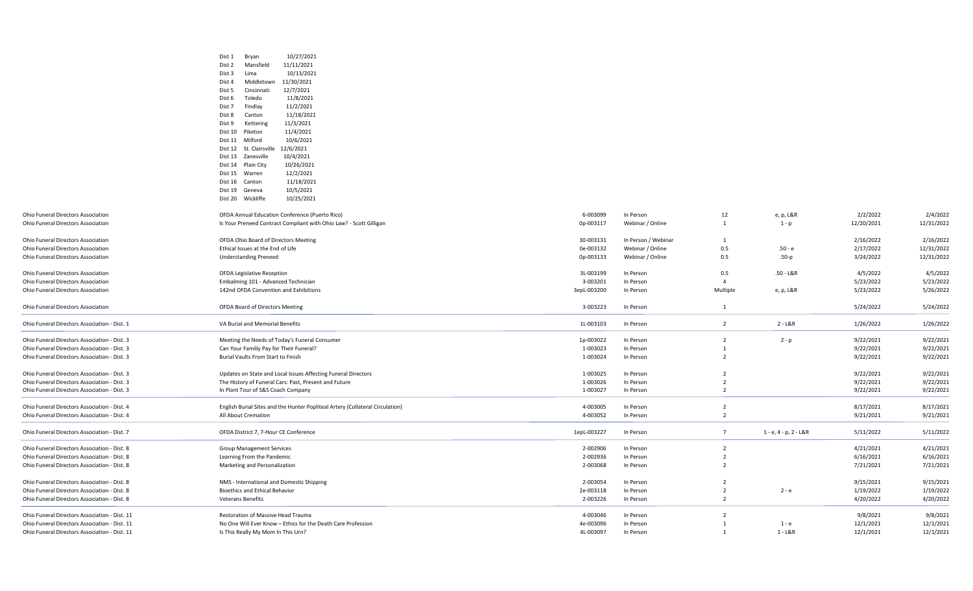|                                               | 10/27/2021<br>Dist 1<br>Bryan                                                                      |                       |                        |                |                       |                        |                        |
|-----------------------------------------------|----------------------------------------------------------------------------------------------------|-----------------------|------------------------|----------------|-----------------------|------------------------|------------------------|
|                                               | Dist 2<br>Mansfield<br>11/11/2021                                                                  |                       |                        |                |                       |                        |                        |
|                                               | Dist 3<br>Lima<br>10/13/2021                                                                       |                       |                        |                |                       |                        |                        |
|                                               | Middletown<br>11/30/2021<br>Dist 4                                                                 |                       |                        |                |                       |                        |                        |
|                                               | 12/7/2021<br>Dist 5<br>Cincinnati                                                                  |                       |                        |                |                       |                        |                        |
|                                               | Dist 6<br>Toledo<br>11/8/2021                                                                      |                       |                        |                |                       |                        |                        |
|                                               | Findlay<br>11/2/2021<br>Dist 7                                                                     |                       |                        |                |                       |                        |                        |
|                                               | Dist 8<br>11/18/2021<br>Canton                                                                     |                       |                        |                |                       |                        |                        |
|                                               | 11/3/2021<br>Dist 9<br>Kettering                                                                   |                       |                        |                |                       |                        |                        |
|                                               | 11/4/2021<br>Dist 10<br>Piketon                                                                    |                       |                        |                |                       |                        |                        |
|                                               | Dist 11<br>Milford<br>10/6/2021                                                                    |                       |                        |                |                       |                        |                        |
|                                               | Dist 12<br>St. Clairsville<br>12/6/2021                                                            |                       |                        |                |                       |                        |                        |
|                                               | Zanesville<br>10/4/2021<br>Dist 13                                                                 |                       |                        |                |                       |                        |                        |
|                                               | 10/26/2021<br>Dist 14<br>Plain City                                                                |                       |                        |                |                       |                        |                        |
|                                               | 12/2/2021<br>Dist 15<br>Warren                                                                     |                       |                        |                |                       |                        |                        |
|                                               | 11/18/2021<br>Canton<br>Dist 16                                                                    |                       |                        |                |                       |                        |                        |
|                                               | 10/5/2021<br>Dist 19 Geneva                                                                        |                       |                        |                |                       |                        |                        |
|                                               | Dist 20 Wickliffe<br>10/25/2021                                                                    |                       |                        |                |                       |                        |                        |
| <b>Ohio Funeral Directors Association</b>     | OFDA Annual Education Conference (Puerto Rico)                                                     | 6-003099              | In Person              | 12             | e, p, L&R             | 2/2/2022               | 2/4/2022               |
| Ohio Funeral Directors Association            | Is Your Preneed Contract Compliant with Ohio Law? - Scott Gilligan                                 | 0p-003117             | Webinar / Online       | $\mathbf{1}$   | 1 - p                 | 12/20/2021             | 12/31/2022             |
|                                               |                                                                                                    |                       |                        |                |                       |                        |                        |
| <b>Ohio Funeral Directors Association</b>     | OFDA Ohio Board of Directors Meeting                                                               | 30-003131             | In Person / Webinar    | - 1            |                       | 2/16/2022              | 2/16/2022              |
| Ohio Funeral Directors Association            | Ethical Issues at the End of Life                                                                  | 0e-003132             | Webinar / Online       | 0.5            | $.50 - e$             | 2/17/2022              | 12/31/2022             |
| Ohio Funeral Directors Association            | <b>Understanding Preneed</b>                                                                       | 0p-003133             | Webinar / Online       | 0.5            | .50-p                 | 3/24/2022              | 12/31/2022             |
| Ohio Funeral Directors Association            | <b>OFDA Legislative Reception</b>                                                                  | 3L-003199             | In Person              | 0.5            | $.50 - L & R$         | 4/5/2022               | 4/5/2022               |
| Ohio Funeral Directors Association            | Embalming 101 - Advanced Technician                                                                | 3-003201              | In Person              | $\overline{4}$ |                       | 5/23/2022              | 5/23/2022              |
| Ohio Funeral Directors Association            | 142nd OFDA Convention and Exhibitions                                                              | 3epL-003200           | In Person              | Multiple       | e, p, L&R             | 5/23/2022              | 5/26/2022              |
| <b>Ohio Funeral Directors Association</b>     | OFDA Board of Directors Meeting                                                                    | 3-003223              | In Person              | 1              |                       | 5/24/2022              | 5/24/2022              |
| Ohio Funeral Directors Association - Dist. 1  | VA Burial and Memorial Benefits                                                                    | 1L-003103             | In Person              | $\overline{2}$ | 2 - L&R               | 1/26/2022              | 1/26/2022              |
| Ohio Funeral Directors Association - Dist. 3  | Meeting the Needs of Today's Funeral Consumer                                                      | 1p-003022             | In Person              | $\overline{2}$ | 2 - p                 | 9/22/2021              | 9/22/2021              |
| Ohio Funeral Directors Association - Dist. 3  | Can Your Familiy Pay for Their Funeral?                                                            | 1-003023              | In Person              | $\mathbf{1}$   |                       | 9/22/2021              | 9/22/2021              |
| Ohio Funeral Directors Association - Dist. 3  | Burial Vaults From Start to Finish                                                                 | 1-003024              | In Person              | $\overline{2}$ |                       | 9/22/2021              | 9/22/2021              |
| Ohio Funeral Directors Association - Dist. 3  | Updates on State and Local Issues Affecting Funeral Directors                                      | 1-003025              | In Person              | $\overline{2}$ |                       | 9/22/2021              | 9/22/2021              |
| Ohio Funeral Directors Association - Dist. 3  | The History of Funeral Cars: Past, Present and Future                                              | 1-003026              | In Person              | $\overline{2}$ |                       | 9/22/2021              | 9/22/2021              |
| Ohio Funeral Directors Association - Dist. 3  | In Plant Tour of S&S Coach Company                                                                 | 1-003027              | In Person              | $\overline{2}$ |                       | 9/22/2021              | 9/22/2021              |
| Ohio Funeral Directors Association - Dist. 4  | English Burial Sites and the Hunter Popliteal Artery (Collateral Circulation)                      | 4-003005              | In Person              | $\overline{2}$ |                       | 8/17/2021              | 8/17/2021              |
| Ohio Funeral Directors Association - Dist. 4  | All About Cremation                                                                                | 4-003052              | In Person              | $\overline{2}$ |                       | 9/21/2021              | 9/21/2021              |
|                                               |                                                                                                    |                       |                        |                |                       |                        |                        |
| Ohio Funeral Directors Association - Dist. 7  | OFDA District 7, 7-Hour CE Conference                                                              | 1epL-003227           | In Person              | $\overline{7}$ | 1 - e, 4 - p, 2 - L&R | 5/11/2022              | 5/11/2022              |
| Ohio Funeral Directors Association - Dist. 8  | <b>Group Management Services</b>                                                                   | 2-002906              | In Person              | $\overline{2}$ |                       | 4/21/2021              | 4/21/2021              |
| Ohio Funeral Directors Association - Dist. 8  | Learning From the Pandemic                                                                         | 2-002936              | In Person              | $\overline{2}$ |                       | 6/16/2021              | 6/16/2021              |
| Ohio Funeral Directors Association - Dist. 8  | Marketing and Personalization                                                                      | 2-003068              | In Person              | $\overline{2}$ |                       | 7/21/2021              | 7/21/2021              |
| Ohio Funeral Directors Association - Dist. 8  | NMS - International and Domestic Shipping                                                          | 2-003054              | In Person              | $\overline{2}$ |                       | 9/15/2021              | 9/15/2021              |
| Ohio Funeral Directors Association - Dist. 8  | <b>Bioethics and Ethical Behavior</b>                                                              | 2e-003118             | In Person              | $\overline{2}$ | 2 - e                 | 1/19/2022              | 1/19/2022              |
| Ohio Funeral Directors Association - Dist. 8  | <b>Veterans Benefits</b>                                                                           | 2-003226              | In Person              | $\overline{2}$ |                       | 4/20/2022              | 4/20/2022              |
| Ohio Funeral Directors Association - Dist. 11 |                                                                                                    |                       |                        |                |                       |                        |                        |
|                                               |                                                                                                    |                       |                        | $\overline{2}$ |                       |                        |                        |
| Ohio Funeral Directors Association - Dist. 11 | Restoration of Massive Head Trauma<br>No One Will Ever Know - Ethics for the Death Care Profession | 4-003046<br>4e-003096 | In Person<br>In Person | $\mathbf{1}$   | $1 - e$               | 9/8/2021               | 9/8/2021               |
| Ohio Funeral Directors Association - Dist. 11 | Is This Really My Mom In This Urn?                                                                 | 4L-003097             | In Person              | $\mathbf{1}$   | 1 - L&R               | 12/1/2021<br>12/1/2021 | 12/1/2021<br>12/1/2021 |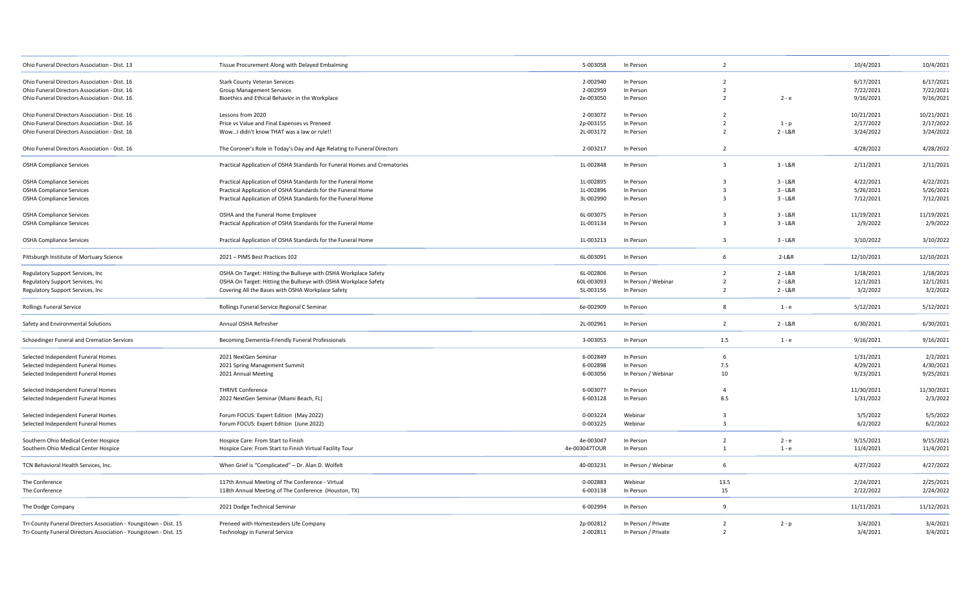| Ohio Funeral Directors Association - Dist. 13                    | Tissue Procurement Along with Delayed Embalming                           | 5-003058      | In Person           | $\overline{2}$          |           | 10/4/2021  | 10/4/2021  |
|------------------------------------------------------------------|---------------------------------------------------------------------------|---------------|---------------------|-------------------------|-----------|------------|------------|
| Ohio Funeral Directors Association - Dist. 16                    | <b>Stark County Veteran Services</b>                                      | 2-002940      | In Person           | $\overline{2}$          |           | 6/17/2021  | 6/17/2021  |
| Ohio Funeral Directors Association - Dist. 16                    | <b>Group Management Services</b>                                          | 2-002959      | In Person           | $\overline{2}$          |           | 7/22/2021  | 7/22/2021  |
| Ohio Funeral Directors Association - Dist. 16                    | Bioethics and Ethical Behavior in the Workplace                           | 2e-003050     | In Person           | $\overline{2}$          | $2 - e$   | 9/16/2021  | 9/16/2021  |
| Ohio Funeral Directors Association - Dist. 16                    | Lessons from 2020                                                         | 2-003072      | In Person           | $\overline{2}$          |           | 10/21/2021 | 10/21/2021 |
| Ohio Funeral Directors Association - Dist. 16                    | Price vs Value and Final Expenses vs Preneed                              | 2p-003155     | In Person           | $\overline{2}$          | $1-p$     | 2/17/2022  | 2/17/2022  |
| Ohio Funeral Directors Association - Dist. 16                    | WowI didn't know THAT was a law or rule!!                                 | 2L-003172     | In Person           | $\overline{2}$          | $2 - L&R$ | 3/24/2022  | 3/24/2022  |
| Ohio Funeral Directors Association - Dist. 16                    | The Coroner's Role in Today's Day and Age Relating to Funeral Directors   | 2-003217      | In Person           | $\overline{2}$          |           | 4/28/2022  | 4/28/2022  |
| <b>OSHA Compliance Services</b>                                  | Practical Application of OSHA Standards for Funeral Homes and Crematories | 1L-002848     | In Person           | $\overline{3}$          | $3 - L&R$ | 2/11/2021  | 2/11/2021  |
| <b>OSHA Compliance Services</b>                                  | Practical Application of OSHA Standards for the Funeral Home              | 1L-002895     | In Person           | $\overline{3}$          | $3 - L&R$ | 4/22/2021  | 4/22/2021  |
| <b>OSHA Compliance Services</b>                                  | Practical Application of OSHA Standards for the Funeral Home              | 1L-002896     | In Person           | $\overline{3}$          | $3 - L&R$ | 5/26/2021  | 5/26/2021  |
| <b>OSHA Compliance Services</b>                                  | Practical Application of OSHA Standards for the Funeral Home              | 3L-002990     | In Person           | $\overline{\mathbf{3}}$ | $3 - L&R$ | 7/12/2021  | 7/12/2021  |
| <b>OSHA Compliance Services</b>                                  | OSHA and the Funeral Home Employee                                        | 6L-003075     | In Person           | $\overline{3}$          | $3 - L&R$ | 11/19/2021 | 11/19/2021 |
| <b>OSHA Compliance Services</b>                                  | Practical Application of OSHA Standards for the Funeral Home              | 1L-003134     | In Person           | $\overline{\mathbf{3}}$ | $3 - L&R$ | 2/9/2022   | 2/9/2022   |
| <b>OSHA Compliance Services</b>                                  | Practical Application of OSHA Standards for the Funeral Home              | 1L-003213     | In Person           | $\overline{3}$          | $3 - L&R$ | 3/10/2022  | 3/10/2022  |
|                                                                  |                                                                           |               |                     |                         |           |            |            |
| Pittsburgh Institute of Mortuary Science                         | 2021 - PIMS Best Practices 102                                            | 6L-003091     | In Person           | 6                       | 2-L&R     | 12/10/2021 | 12/10/2021 |
| Regulatory Support Services, Inc                                 | OSHA On Target: Hitting the Bullseye with OSHA Workplace Safety           | 6L-002806     | In Person           | $\overline{2}$          | $2 - L&R$ | 1/18/2021  | 1/18/2021  |
| Regulatory Support Services, Inc.                                | OSHA On Target: Hitting the Bullseye with OSHA Workplace Safety           | 60L-003093    | In Person / Webinar | $\overline{2}$          | $2 - L&R$ | 12/1/2021  | 12/1/2021  |
| Regulatory Support Services, Inc                                 | Covering All the Bases with OSHA Workplace Safety                         | 5L-003156     | In Person           | $\overline{2}$          | $2 - L&R$ | 3/2/2022   | 3/2/2022   |
| <b>Rollings Funeral Service</b>                                  | Rollings Funeral Service Regional C Seminar                               | 6e-002909     | In Person           | 8                       | $1 - e$   | 5/12/2021  | 5/12/2021  |
| Safety and Environmental Solutions                               | Annual OSHA Refresher                                                     | 2L-002961     | In Person           | $\overline{2}$          | $2 - L&R$ | 6/30/2021  | 6/30/2021  |
| Schoedinger Funeral and Cremation Services                       | Becoming Dementia-Friendly Funeral Professionals                          | 3-003053      | In Person           | 1.5                     | $1 - e$   | 9/16/2021  | 9/16/2021  |
| Selected Independent Funeral Homes                               | 2021 NextGen Seminar                                                      | 6-002849      | In Person           | 6                       |           | 1/31/2021  | 2/2/2021   |
| Selected Independent Funeral Homes                               | 2021 Spring Management Summit                                             | 6-002898      | In Person           | 7.5                     |           | 4/29/2021  | 4/30/2021  |
| Selected Independent Funeral Homes                               | 2021 Annual Meeting                                                       | 6-003056      | In Person / Webinar | 10                      |           | 9/23/2021  | 9/25/2021  |
| Selected Independent Funeral Homes                               | <b>THRIVE Conference</b>                                                  | 6-003077      | In Person           | $\overline{4}$          |           | 11/30/2021 | 11/30/2021 |
| Selected Independent Funeral Homes                               | 2022 NextGen Seminar (Miami Beach, FL)                                    | 6-003128      | In Person           | 8.5                     |           | 1/31/2022  | 2/3/2022   |
| Selected Independent Funeral Homes                               | Forum FOCUS: Expert Edition (May 2022)                                    | 0-003224      | Webinar             | $\overline{3}$          |           | 5/5/2022   | 5/5/2022   |
| Selected Independent Funeral Homes                               | Forum FOCUS: Expert Edition (June 2022)                                   | 0-003225      | Webinar             | $\overline{3}$          |           | 6/2/2022   | 6/2/2022   |
| Southern Ohio Medical Center Hospice                             | Hospice Care: From Start to Finish                                        | 4e-003047     | In Person           | $\overline{2}$          | $2 - e$   | 9/15/2021  | 9/15/2021  |
| Southern Ohio Medical Center Hospice                             | Hospice Care: From Start to Finish Virtual Facility Tour                  | 4e-003047TOUR | In Person           | $\overline{1}$          | $1 - e$   | 11/4/2021  | 11/4/2021  |
| TCN Behavioral Health Services, Inc.                             | When Grief is "Complicated" - Dr. Alan D. Wolfelt                         | 40-003231     | In Person / Webinar | 6                       |           | 4/27/2022  | 4/27/2022  |
| The Conference                                                   | 117th Annual Meeting of The Conference - Virtual                          | 0-002883      | Webinar             | 13.5                    |           | 2/24/2021  | 2/25/2021  |
| The Conference                                                   | 118th Annual Meeting of The Conference (Houston, TX)                      | 6-003138      | In Person           | 15                      |           | 2/22/2022  | 2/24/2022  |
| The Dodge Company                                                | 2021 Dodge Technical Seminar                                              | 6-002994      | In Person           | -9                      |           | 11/11/2021 | 11/12/2021 |
| Tri-County Funeral Directors Association - Youngstown - Dist. 15 | Preneed with Homesteaders Life Company                                    | 2p-002812     | In Person / Private | $\overline{2}$          | $2 - p$   | 3/4/2021   | 3/4/2021   |
| Tri-County Funeral Directors Association - Youngstown - Dist. 15 | Technology in Funeral Service                                             | 2-002811      | In Person / Private | $\overline{2}$          |           | 3/4/2021   | 3/4/2021   |
|                                                                  |                                                                           |               |                     |                         |           |            |            |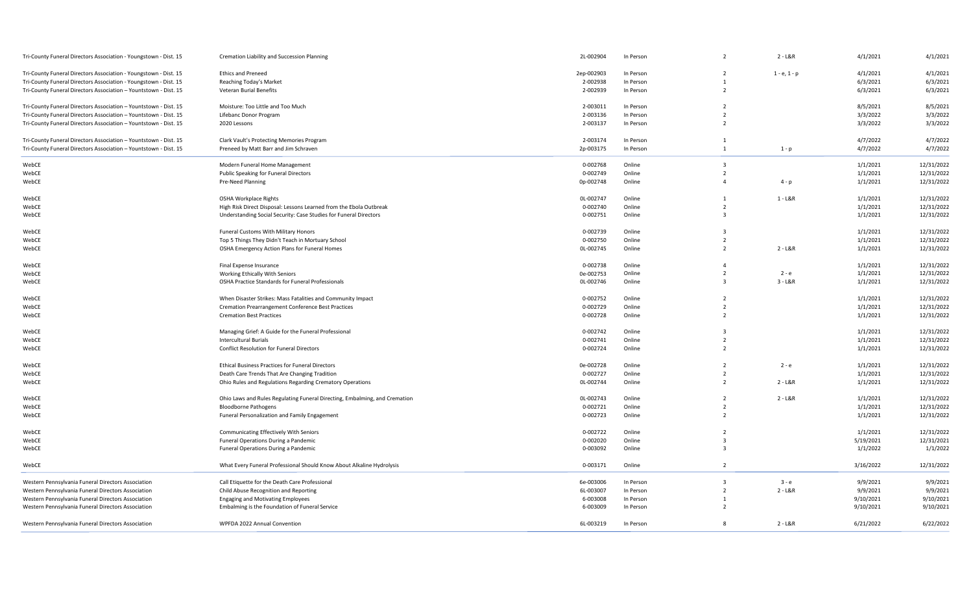| Tri-County Funeral Directors Association - Youngstown - Dist. 15 | Cremation Liability and Succession Planning                                | 2L-002904  | In Person | $\overline{2}$          | $2 - L&R$      | 4/1/2021  | 4/1/2021   |
|------------------------------------------------------------------|----------------------------------------------------------------------------|------------|-----------|-------------------------|----------------|-----------|------------|
| Tri-County Funeral Directors Association - Youngstown - Dist. 15 | <b>Ethics and Preneed</b>                                                  | 2ep-002903 | In Person | $\overline{2}$          | $1 - e, 1 - p$ | 4/1/2021  | 4/1/2021   |
| Tri-County Funeral Directors Association - Youngstown - Dist. 15 | Reaching Today's Market                                                    | 2-002938   | In Person |                         |                | 6/3/2021  | 6/3/2021   |
| Tri-County Funeral Directors Association - Yountstown - Dist. 15 | <b>Veteran Burial Benefits</b>                                             | 2-002939   | In Person | 2                       |                | 6/3/2021  | 6/3/2021   |
|                                                                  |                                                                            |            |           |                         |                |           |            |
| Tri-County Funeral Directors Association - Yountstown - Dist. 15 | Moisture: Too Little and Too Much                                          | 2-003011   | In Person | $\overline{2}$          |                | 8/5/2021  | 8/5/2021   |
| Tri-County Funeral Directors Association - Yountstown - Dist. 15 | Lifebanc Donor Program                                                     | 2-003136   | In Person | $\overline{2}$          |                | 3/3/2022  | 3/3/2022   |
| Tri-County Funeral Directors Association - Yountstown - Dist. 15 | 2020 Lessons                                                               | 2-003137   | In Person | $\overline{2}$          |                | 3/3/2022  | 3/3/2022   |
| Tri-County Funeral Directors Association - Yountstown - Dist. 15 | Clark Vault's Protecting Memories Program                                  | 2-003174   | In Person |                         |                | 4/7/2022  | 4/7/2022   |
| Tri-County Funeral Directors Association - Yountstown - Dist. 15 | Preneed by Matt Barr and Jim Schraven                                      | 2p-003175  | In Person | $\overline{1}$          | $1 - p$        | 4/7/2022  | 4/7/2022   |
| WebCE                                                            | Modern Funeral Home Management                                             | 0-002768   | Online    | $\overline{\mathbf{3}}$ |                | 1/1/2021  | 12/31/2022 |
|                                                                  | Public Speaking for Funeral Directors                                      | 0-002749   | Online    | $\overline{2}$          |                |           | 12/31/2022 |
| WebCE                                                            |                                                                            |            |           | $\overline{a}$          |                | 1/1/2021  |            |
| WebCE                                                            | Pre-Need Planning                                                          | 0p-002748  | Online    |                         | $4 - p$        | 1/1/2021  | 12/31/2022 |
| WebCE                                                            | OSHA Workplace Rights                                                      | OL-002747  | Online    | 1                       | $1 - L&R$      | 1/1/2021  | 12/31/2022 |
| WebCE                                                            | High Risk Direct Disposal: Lessons Learned from the Ebola Outbreak         | 0-002740   | Online    | $\overline{2}$          |                | 1/1/2021  | 12/31/2022 |
| WebCE                                                            | Understanding Social Security: Case Studies for Funeral Directors          | 0-002751   | Online    | $\overline{\mathbf{3}}$ |                | 1/1/2021  | 12/31/2022 |
| WebCE                                                            | Funeral Customs With Military Honors                                       | 0-002739   | Online    | $\overline{3}$          |                | 1/1/2021  | 12/31/2022 |
|                                                                  |                                                                            |            | Online    | $\overline{2}$          |                |           |            |
| WebCE                                                            | Top 5 Things They Didn't Teach in Mortuary School                          | 0-002750   |           | $\overline{2}$          |                | 1/1/2021  | 12/31/2022 |
| WebCE                                                            | OSHA Emergency Action Plans for Funeral Homes                              | OL-002745  | Online    |                         | $2 - L&R$      | 1/1/2021  | 12/31/2022 |
| WebCE                                                            | Final Expense Insurance                                                    | 0-002738   | Online    | $\overline{a}$          |                | 1/1/2021  | 12/31/2022 |
| WebCE                                                            | Working Ethically With Seniors                                             | 0e-002753  | Online    | $\overline{2}$          | 2 - e          | 1/1/2021  | 12/31/2022 |
| WebCE                                                            | OSHA Practice Standards for Funeral Professionals                          | OL-002746  | Online    | $\overline{\mathbf{3}}$ | $3 - L&R$      | 1/1/2021  | 12/31/2022 |
| WebCE                                                            | When Disaster Strikes: Mass Fatalities and Community Impact                | 0-002752   | Online    | $\overline{2}$          |                | 1/1/2021  | 12/31/2022 |
| WebCE                                                            | Cremation Prearrangement Conference Best Practices                         | 0-002729   | Online    | $\overline{2}$          |                | 1/1/2021  | 12/31/2022 |
| WebCE                                                            | <b>Cremation Best Practices</b>                                            | 0-002728   | Online    | $\overline{2}$          |                | 1/1/2021  | 12/31/2022 |
|                                                                  |                                                                            |            |           |                         |                |           |            |
| WebCE                                                            | Managing Grief: A Guide for the Funeral Professional                       | 0-002742   | Online    | $\overline{3}$          |                | 1/1/2021  | 12/31/2022 |
| WebCE                                                            | <b>Intercultural Burials</b>                                               | 0-002741   | Online    | $\overline{2}$          |                | 1/1/2021  | 12/31/2022 |
| WebCE                                                            | <b>Conflict Resolution for Funeral Directors</b>                           | 0-002724   | Online    | $\overline{2}$          |                | 1/1/2021  | 12/31/2022 |
| WebCE                                                            | Ethical Business Practices for Funeral Directors                           | 0e-002728  | Online    | $\overline{2}$          | $2 - e$        | 1/1/2021  | 12/31/2022 |
| WebCE                                                            | Death Care Trends That Are Changing Tradition                              | 0-002727   | Online    | $\overline{2}$          |                | 1/1/2021  | 12/31/2022 |
| WebCE                                                            | Ohio Rules and Regulations Regarding Crematory Operations                  | OL-002744  | Online    | $\overline{2}$          | $2 - L&R$      | 1/1/2021  | 12/31/2022 |
|                                                                  |                                                                            |            |           |                         |                |           |            |
| WebCE                                                            | Ohio Laws and Rules Regulating Funeral Directing, Embalming, and Cremation | OL-002743  | Online    | $\overline{2}$          | $2 - L&R$      | 1/1/2021  | 12/31/2022 |
| WebCE                                                            | <b>Bloodborne Pathogens</b>                                                | 0-002721   | Online    | $\overline{2}$          |                | 1/1/2021  | 12/31/2022 |
| WebCE                                                            | Funeral Personalization and Family Engagement                              | 0-002723   | Online    | $\overline{2}$          |                | 1/1/2021  | 12/31/2022 |
| WebCE                                                            | Communicating Effectively With Seniors                                     | 0-002722   | Online    | $\overline{2}$          |                | 1/1/2021  | 12/31/2022 |
| WebCE                                                            | Funeral Operations During a Pandemic                                       | 0-002020   | Online    | $\overline{3}$          |                | 5/19/2021 | 12/31/2021 |
| WebCE                                                            | Funeral Operations During a Pandemic                                       | 0-003092   | Online    | $\overline{3}$          |                | 1/1/2022  | 1/1/2022   |
|                                                                  |                                                                            |            |           |                         |                |           |            |
| WebCE                                                            | What Every Funeral Professional Should Know About Alkaline Hydrolysis      | 0-003171   | Online    | $\overline{2}$          |                | 3/16/2022 | 12/31/2022 |
| Western Pennsylvania Funeral Directors Association               | Call Etiquette for the Death Care Professional                             | 6e-003006  | In Person | $\overline{\mathbf{3}}$ | 3 - e          | 9/9/2021  | 9/9/2021   |
| Western Pennsylvania Funeral Directors Association               | Child Abuse Recognition and Reporting                                      | 6L-003007  | In Person | $\overline{2}$          | $2 - L&R$      | 9/9/2021  | 9/9/2021   |
| Western Pennsylvania Funeral Directors Association               | <b>Engaging and Motivating Employees</b>                                   | 6-003008   | In Person | $\overline{1}$          |                | 9/10/2021 | 9/10/2021  |
| Western Pennsylvania Funeral Directors Association               | Embalming is the Foundation of Funeral Service                             | 6-003009   | In Person | $\overline{2}$          |                | 9/10/2021 | 9/10/2021  |
| Western Pennsylvania Funeral Directors Association               | WPFDA 2022 Annual Convention                                               | 6L-003219  | In Person | 8                       | $2 - L&R$      | 6/21/2022 | 6/22/2022  |